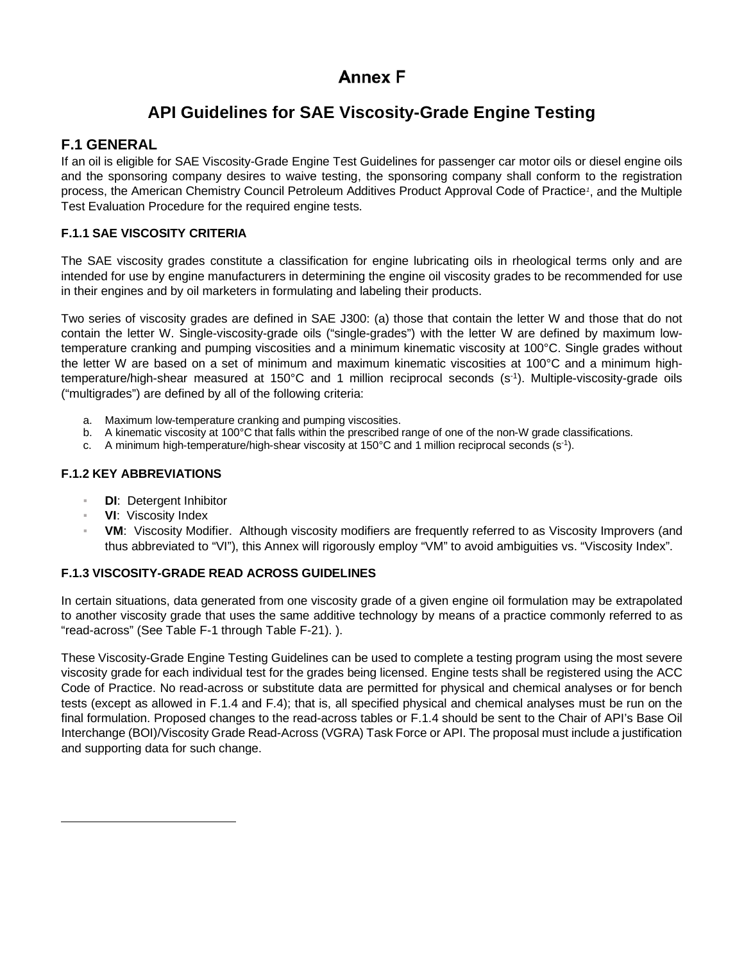# **Annex F**

# **API Guidelines for SAE Viscosity-Grade Engine Testing**

## **F.1 GENERAL**

If an oil is eligible for SAE Viscosity-Grade Engine Test Guidelines for passenger car motor oils or diesel engine oils and the sponsoring company desires to waive testing, the sponsoring company shall conform to the registration process, the American Chemistry Council Petroleum Additives Product Approval Code of Practice*[1](#page-0-0)* , and the Multiple Test Evaluation Procedure for the required engine tests.

## **F.1.1 SAE VISCOSITY CRITERIA**

The SAE viscosity grades constitute a classification for engine lubricating oils in rheological terms only and are intended for use by engine manufacturers in determining the engine oil viscosity grades to be recommended for use in their engines and by oil marketers in formulating and labeling their products.

Two series of viscosity grades are defined in SAE J300: (a) those that contain the letter W and those that do not contain the letter W. Single-viscosity-grade oils ("single-grades") with the letter W are defined by maximum lowtemperature cranking and pumping viscosities and a minimum kinematic viscosity at 100°C. Single grades without the letter W are based on a set of minimum and maximum kinematic viscosities at 100°C and a minimum hightemperature/high-shear measured at 150°C and 1 million reciprocal seconds (s-1). Multiple-viscosity-grade oils ("multigrades") are defined by all of the following criteria:

- a. Maximum low-temperature cranking and pumping viscosities.
- b. A kinematic viscosity at 100°C that falls within the prescribed range of one of the non-W grade classifications.
- c. A minimum high-temperature/high-shear viscosity at 150°C and 1 million reciprocal seconds (s-1).

## **F.1.2 KEY ABBREVIATIONS**

- **DI:** Detergent Inhibitor
- **VI:** Viscosity Index
- **VM:** Viscosity Modifier. Although viscosity modifiers are frequently referred to as Viscosity Improvers (and thus abbreviated to "VI"), this Annex will rigorously employ "VM" to avoid ambiguities vs. "Viscosity Index".

## **F.1.3 VISCOSITY-GRADE READ ACROSS GUIDELINES**

In certain situations, data generated from one viscosity grade of a given engine oil formulation may be extrapolated to another viscosity grade that uses the same additive technology by means of a practice commonly referred to as "read-across" (Se[e Table F-1](#page-1-0) through [Table F-21\)](#page-17-0). ).

<span id="page-0-0"></span>These Viscosity-Grade Engine Testing Guidelines can be used to complete a testing program using the most severe viscosity grade for each individual test for the grades being licensed. Engine tests shall be registered using the ACC Code of Practice. No read-across or substitute data are permitted for physical and chemical analyses or for bench tests (except as allowed in [F.1.4](#page-1-1) and [F.4\)](#page-14-0); that is, all specified physical and chemical analyses must be run on the final formulation. Proposed changes to the read-across tables or [F.1.4](#page-1-1) should be sent to the Chair of API's Base Oil Interchange (BOI)/Viscosity Grade Read-Across (VGRA) Task Force or API. The proposal must include a justification and supporting data for such change.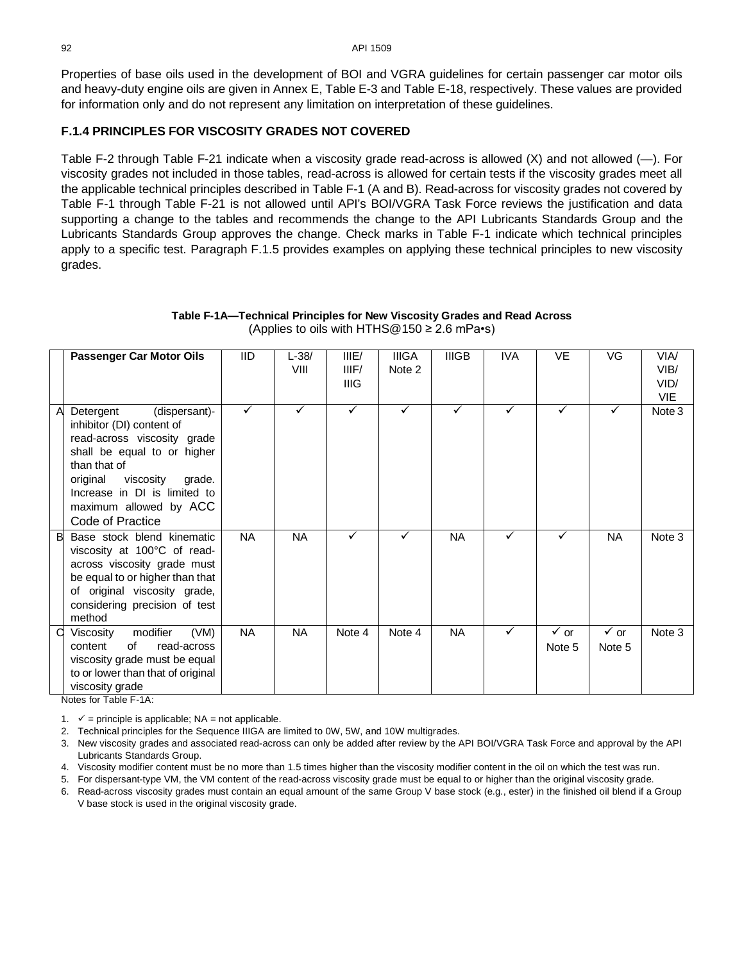92 API 1509

Properties of base oils used in the development of BOI and VGRA guidelines for certain passenger car motor oils and heavy-duty engine oils are given in Annex E, Table E-3 and Table E-18, respectively. These values are provided for information only and do not represent any limitation on interpretation of these guidelines.

## <span id="page-1-1"></span>**F.1.4 PRINCIPLES FOR VISCOSITY GRADES NOT COVERED**

[Table F-2](#page-4-0) through [Table F-21](#page-17-0) indicate when a viscosity grade read-across is allowed (X) and not allowed (—). For viscosity grades not included in those tables, read-across is allowed for certain tests if the viscosity grades meet all the applicable technical principles described in [Table F-1](#page-1-0) (A and B). Read-across for viscosity grades not covered by [Table F-1](#page-1-0) through [Table F-21](#page-17-0) is not allowed until API's BOI/VGRA Task Force reviews the justification and data supporting a change to the tables and recommends the change to the API Lubricants Standards Group and the Lubricants Standards Group approves the change. Check marks in [Table F-1](#page-1-0) indicate which technical principles apply to a specific test. Paragraph [F.1.5](#page-2-0) provides examples on applying these technical principles to new viscosity grades.

<span id="page-1-0"></span>

|   | <b>Passenger Car Motor Oils</b>                                                                                                                                                                                                                        | <b>IID</b> | L-38/<br>VIII | IIIE/<br>IIIF/<br>IIIG | <b>IIIGA</b><br>Note 2 | <b>IIIGB</b> | <b>IVA</b> | VE                        | VG                        | VIA/<br>VIB/<br>VID/<br><b>VIE</b> |
|---|--------------------------------------------------------------------------------------------------------------------------------------------------------------------------------------------------------------------------------------------------------|------------|---------------|------------------------|------------------------|--------------|------------|---------------------------|---------------------------|------------------------------------|
| A | (dispersant)-<br>Detergent<br>inhibitor (DI) content of<br>read-across viscosity grade<br>shall be equal to or higher<br>than that of<br>original<br>viscosity<br>grade.<br>Increase in DI is limited to<br>maximum allowed by ACC<br>Code of Practice | ✓          |               | ✓                      | ✓                      | ✓            | ✓          | ✓                         | ✓                         | Note 3                             |
| B | Base stock blend kinematic<br>viscosity at 100°C of read-<br>across viscosity grade must<br>be equal to or higher than that<br>of original viscosity grade,<br>considering precision of test<br>method                                                 | <b>NA</b>  | <b>NA</b>     | ✓                      | ✓                      | NA.          | ✓          | ✓                         | <b>NA</b>                 | Note 3                             |
| a | (VM)<br>modifier<br>Viscosity<br>read-across<br>of<br>content<br>viscosity grade must be equal<br>to or lower than that of original<br>viscosity grade                                                                                                 | <b>NA</b>  | <b>NA</b>     | Note 4                 | Note 4                 | NA.          | ✓          | $\checkmark$ or<br>Note 5 | $\checkmark$ or<br>Note 5 | Note 3                             |

## **Table F-1A—Technical Principles for New Viscosity Grades and Read Across** (Applies to oils with HTHS $@150 \geq 2.6$  mPa•s)

Notes for [Table F-1A](#page-1-0):

1.  $\checkmark$  = principle is applicable; NA = not applicable.

2. Technical principles for the Sequence IIIGA are limited to 0W, 5W, and 10W multigrades.

3. New viscosity grades and associated read-across can only be added after review by the API BOI/VGRA Task Force and approval by the API Lubricants Standards Group.

4. Viscosity modifier content must be no more than 1.5 times higher than the viscosity modifier content in the oil on which the test was run.

5. For dispersant-type VM, the VM content of the read-across viscosity grade must be equal to or higher than the original viscosity grade.

6. Read-across viscosity grades must contain an equal amount of the same Group V base stock (e.g., ester) in the finished oil blend if a Group V base stock is used in the original viscosity grade.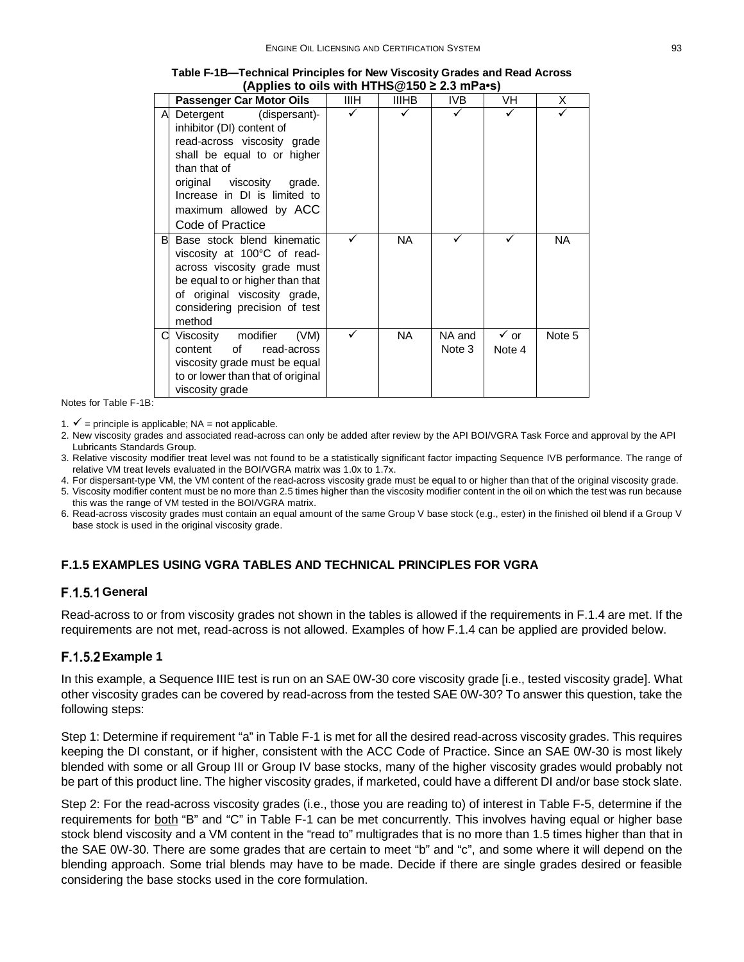|   | <b>Passenger Car Motor Oils</b>                                                                                                                                                                                                                     | ШH | <b>IIIHB</b> | IVB              | VH                        | X         |
|---|-----------------------------------------------------------------------------------------------------------------------------------------------------------------------------------------------------------------------------------------------------|----|--------------|------------------|---------------------------|-----------|
| A | Detergent<br>(dispersant)-<br>inhibitor (DI) content of<br>read-across viscosity grade<br>shall be equal to or higher<br>than that of<br>original viscosity<br>grade.<br>Increase in DI is limited to<br>maximum allowed by ACC<br>Code of Practice |    |              |                  |                           |           |
| B | Base stock blend kinematic<br>viscosity at 100°C of read-<br>across viscosity grade must<br>be equal to or higher than that<br>of original viscosity grade,<br>considering precision of test<br>method                                              |    | <b>NA</b>    |                  |                           | <b>NA</b> |
|   | Viscosity modifier<br>(VM)<br>content<br>οf<br>read-across<br>viscosity grade must be equal<br>to or lower than that of original<br>viscosity grade                                                                                                 |    | <b>NA</b>    | NA and<br>Note 3 | $\checkmark$ or<br>Note 4 | Note 5    |

**[Table F-1B](#page-1-0)—Technical Principles for New Viscosity Grades and Read Across (Applies to oils with HTHS@150 ≥ 2.3 mPa•s)**

Notes for [Table F-1B](#page-1-0):

1.  $\checkmark$  = principle is applicable; NA = not applicable.

- 2. New viscosity grades and associated read-across can only be added after review by the API BOI/VGRA Task Force and approval by the API Lubricants Standards Group.
- 3. Relative viscosity modifier treat level was not found to be a statistically significant factor impacting Sequence IVB performance. The range of relative VM treat levels evaluated in the BOI/VGRA matrix was 1.0x to 1.7x.

4. For dispersant-type VM, the VM content of the read-across viscosity grade must be equal to or higher than that of the original viscosity grade.

- 5. Viscosity modifier content must be no more than 2.5 times higher than the viscosity modifier content in the oil on which the test was run because this was the range of VM tested in the BOI/VGRA matrix.
- 6. Read-across viscosity grades must contain an equal amount of the same Group V base stock (e.g., ester) in the finished oil blend if a Group V base stock is used in the original viscosity grade.

## <span id="page-2-0"></span>**F.1.5 EXAMPLES USING VGRA TABLES AND TECHNICAL PRINCIPLES FOR VGRA**

## **F.1.5.1 General**

Read-across to or from viscosity grades not shown in the tables is allowed if the requirements in [F.1.4](#page-1-1) are met. If the requirements are not met, read-across is not allowed. Examples of how [F.1.4](#page-1-1) can be applied are provided below.

## **F.1.5.2 Example 1**

In this example, a Sequence IIIE test is run on an SAE 0W-30 core viscosity grade [i.e., tested viscosity grade]. What other viscosity grades can be covered by read-across from the tested SAE 0W-30? To answer this question, take the following steps:

Step 1: Determine if requirement "a" in [Table F-1](#page-1-0) is met for all the desired read-across viscosity grades. This requires keeping the DI constant, or if higher, consistent with the ACC Code of Practice. Since an SAE 0W-30 is most likely blended with some or all Group III or Group IV base stocks, many of the higher viscosity grades would probably not be part of this product line. The higher viscosity grades, if marketed, could have a different DI and/or base stock slate.

Step 2: For the read-across viscosity grades (i.e., those you are reading to) of interest in [Table F-5,](#page-5-0) determine if the requirements for both "B" and "C" in [Table F-1](#page-1-0) can be met concurrently. This involves having equal or higher base stock blend viscosity and a VM content in the "read to" multigrades that is no more than 1.5 times higher than that in the SAE 0W-30. There are some grades that are certain to meet "b" and "c", and some where it will depend on the blending approach. Some trial blends may have to be made. Decide if there are single grades desired or feasible considering the base stocks used in the core formulation.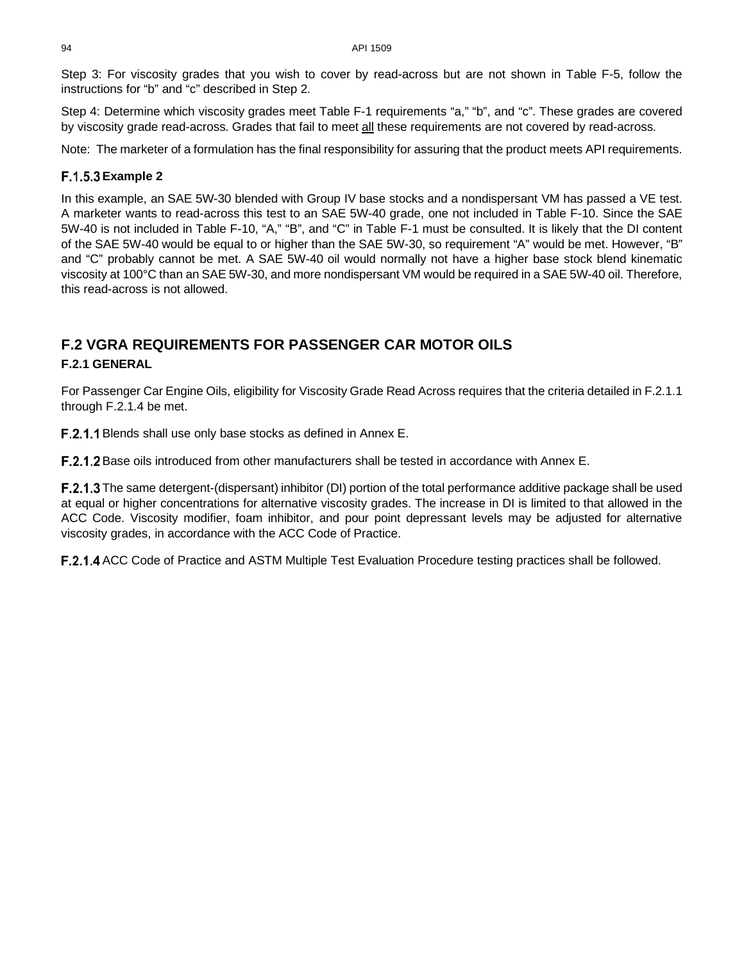Step 3: For viscosity grades that you wish to cover by read-across but are not shown in [Table F-5,](#page-5-0) follow the instructions for "b" and "c" described in Step 2.

Step 4: Determine which viscosity grades meet [Table F-1](#page-1-0) requirements "a," "b", and "c". These grades are covered by viscosity grade read-across. Grades that fail to meet all these requirements are not covered by read-across.

Note: The marketer of a formulation has the final responsibility for assuring that the product meets API requirements.

## **Example 2**

In this example, an SAE 5W-30 blended with Group IV base stocks and a nondispersant VM has passed a VE test. A marketer wants to read-across this test to an SAE 5W-40 grade, one not included in [Table F-10.](#page-8-0) Since the SAE 5W-40 is not included in [Table F-10,](#page-8-0) "A," "B", and "C" in [Table F-1](#page-1-0) must be consulted. It is likely that the DI content of the SAE 5W-40 would be equal to or higher than the SAE 5W-30, so requirement "A" would be met. However, "B" and "C" probably cannot be met. A SAE 5W-40 oil would normally not have a higher base stock blend kinematic viscosity at 100°C than an SAE 5W-30, and more nondispersant VM would be required in a SAE 5W-40 oil. Therefore, this read-across is not allowed.

# **F.2 VGRA REQUIREMENTS FOR PASSENGER CAR MOTOR OILS**

## **F.2.1 GENERAL**

For Passenger Car Engine Oils, eligibility for Viscosity Grade Read Across requires that the criteria detailed i[n F.2.1.1](#page-3-0) through [F.2.1.4](#page-3-1) be met.

<span id="page-3-0"></span>F.2.1.1 Blends shall use only base stocks as defined in Annex E.

**F.2.1.2** Base oils introduced from other manufacturers shall be tested in accordance with Annex E.

F.2.1.3 The same detergent-(dispersant) inhibitor (DI) portion of the total performance additive package shall be used at equal or higher concentrations for alternative viscosity grades. The increase in DI is limited to that allowed in the ACC Code. Viscosity modifier, foam inhibitor, and pour point depressant levels may be adjusted for alternative viscosity grades, in accordance with the ACC Code of Practice.

<span id="page-3-1"></span>F.2.1.4 ACC Code of Practice and ASTM Multiple Test Evaluation Procedure testing practices shall be followed.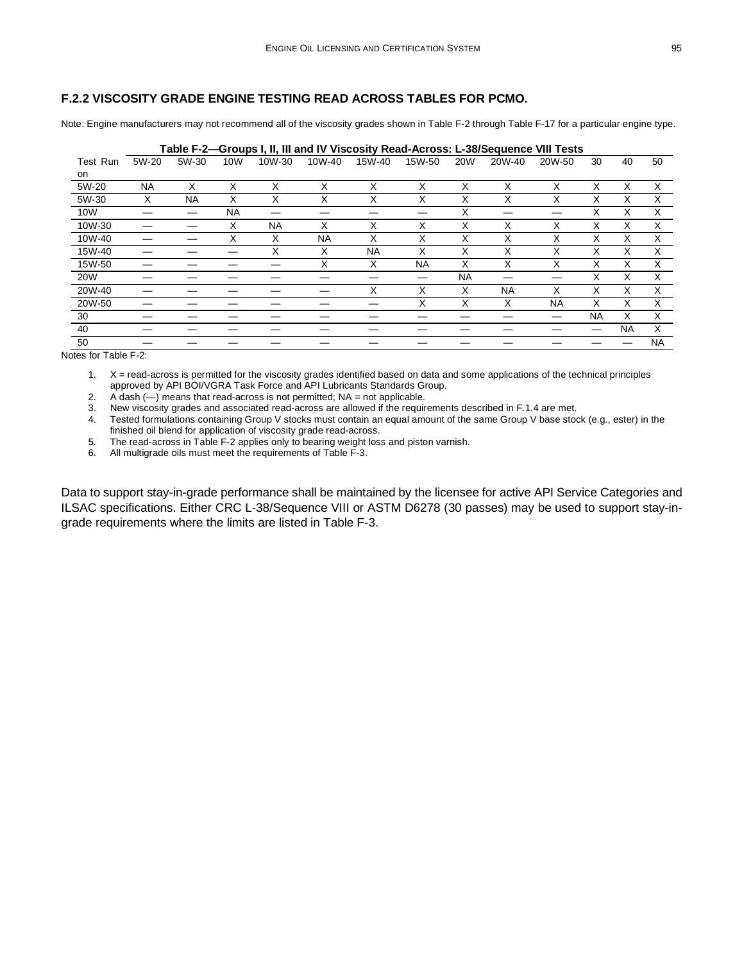### **F.2.2 VISCOSITY GRADE ENGINE TESTING READ ACROSS TABLES FOR PCMO.**

Note: Engine manufacturers may not recommend all of the viscosity grades shown in [Table F-2](#page-4-0) throug[h Table F-17](#page-13-0) for a particular engine type.

<span id="page-4-0"></span>

|            | Table F-2—Groups I, II, III and IV Viscosity Read-Across: L-38/Sequence VIII Tests |           |           |           |           |           |           |           |           |           |           |           |           |  |
|------------|------------------------------------------------------------------------------------|-----------|-----------|-----------|-----------|-----------|-----------|-----------|-----------|-----------|-----------|-----------|-----------|--|
| Test Run   | 5W-20                                                                              | 5W-30     | 10W       | 10W-30    | 10W-40    | 15W-40    | 15W-50    | 20W       | 20W-40    | 20W-50    | 30        | 40        | 50        |  |
| on         |                                                                                    |           |           |           |           |           |           |           |           |           |           |           |           |  |
| 5W-20      | NA                                                                                 | X         | X         | X         | X         | X         | X         | X         | X         | X         | X         | X         | X         |  |
| 5W-30      | х                                                                                  | <b>NA</b> | X         | х         | Χ         | X         | Χ         | Χ         | X         | X         | X         | х         | X         |  |
| 10W        |                                                                                    |           | <b>NA</b> |           |           |           |           | X         | _         |           | X         | Χ         | X         |  |
| 10W-30     |                                                                                    |           | X         | <b>NA</b> | X         | X         | X         | X         | X         | X         | X         | X         | X         |  |
| 10W-40     |                                                                                    |           | Χ         | х         | <b>NA</b> | X         | X         | X         | X         | X         | x         | x         | X         |  |
| 15W-40     |                                                                                    |           |           | X         | X         | <b>NA</b> | X         | х         | X         | X         | X         | X         | X         |  |
| 15W-50     |                                                                                    |           |           |           | X         | X         | <b>NA</b> | X         | X         | X         | X         | X         | X         |  |
| <b>20W</b> |                                                                                    |           |           |           |           |           |           | <b>NA</b> |           |           | X         | x         | X         |  |
| 20W-40     |                                                                                    |           |           |           |           | X         | X         | X         | <b>NA</b> | X         | X         | X         | X         |  |
| 20W-50     |                                                                                    |           |           |           |           |           | X         | Χ         | X         | <b>NA</b> | X         | X         | X         |  |
| 30         |                                                                                    |           |           |           |           |           |           |           |           |           | <b>NA</b> | X         | X         |  |
| 40         |                                                                                    |           |           |           |           |           |           |           |           |           |           | <b>NA</b> | X         |  |
| 50         |                                                                                    |           |           |           |           |           |           |           |           |           |           |           | <b>NA</b> |  |

Notes for [Table F-2:](#page-4-0)

1. X = read-across is permitted for the viscosity grades identified based on data and some applications of the technical principles approved by API BOI/VGRA Task Force and API Lubricants Standards Group.

2. A dash  $(-)$  means that read-across is not permitted; NA = not applicable.

3. New viscosity grades and associated read-across are allowed if the requirements described in [F.1.4](#page-1-1) are met.

4. Tested formulations containing Group V stocks must contain an equal amount of the same Group V base stock (e.g., ester) in the finished oil blend for application of viscosity grade read-across.

5. The read-across i[n Table F-2](#page-4-0) applies only to bearing weight loss and piston varnish.

6. All multigrade oils must meet the requirements of [Table F-3.](#page-5-1)

Data to support stay-in-grade performance shall be maintained by the licensee for active API Service Categories and ILSAC specifications. Either CRC L-38/Sequence VIII or ASTM D6278 (30 passes) may be used to support stay-ingrade requirements where the limits are listed in [Table F-3.](#page-5-1)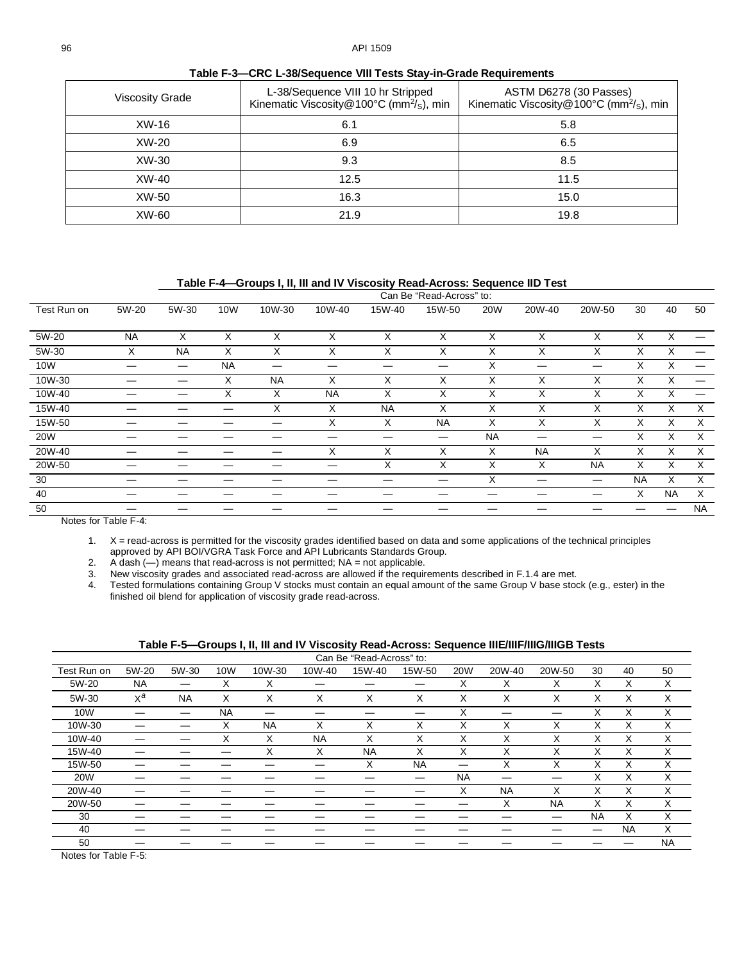<span id="page-5-1"></span>

| <b>Viscosity Grade</b> | L-38/Sequence VIII 10 hr Stripped<br>Kinematic Viscosity@100°C (mm <sup>2</sup> / <sub>S</sub> ), min | ASTM D6278 (30 Passes)<br>Kinematic Viscosity@100°C (mm <sup>2</sup> / <sub>S</sub> ), min |
|------------------------|-------------------------------------------------------------------------------------------------------|--------------------------------------------------------------------------------------------|
| XW-16                  | 6.1                                                                                                   | 5.8                                                                                        |
| XW-20                  | 6.9                                                                                                   | 6.5                                                                                        |
| XW-30                  | 9.3                                                                                                   | 8.5                                                                                        |
| XW-40                  | 12.5                                                                                                  | 11.5                                                                                       |
| XW-50                  | 16.3                                                                                                  | 15.0                                                                                       |
| XW-60                  | 21.9                                                                                                  | 19.8                                                                                       |
|                        |                                                                                                       |                                                                                            |

**Table F-3—CRC L-38/Sequence VIII Tests Stay-in-Grade Requirements**

**Table F-4—Groups I, II, III and IV Viscosity Read-Across: Sequence IID Test**

<span id="page-5-2"></span>

|             | Can Be "Read-Across" to: |           |           |           |           |           |        |            |           |           |           |           |           |
|-------------|--------------------------|-----------|-----------|-----------|-----------|-----------|--------|------------|-----------|-----------|-----------|-----------|-----------|
| Test Run on | 5W-20                    | 5W-30     | 10W       | 10W-30    | 10W-40    | 15W-40    | 15W-50 | <b>20W</b> | 20W-40    | 20W-50    | 30        | 40        | 50        |
| 5W-20       | <b>NA</b>                | X         | X         | X         | X         | X         | X      | X          | X         | X         | X         | X         |           |
| 5W-30       | X                        | <b>NA</b> | X         | X         | X         | X         | X      | X          | X         | X.        | X         | X         |           |
| 10W         |                          |           | <b>NA</b> | _         |           |           | —      | X          |           |           | X         | X         |           |
| 10W-30      |                          |           | X         | <b>NA</b> | X         | X         | X      | X          | X         | X         | X         | X         |           |
| 10W-40      |                          |           | X         | X         | <b>NA</b> | X         | X      | X          | X         | X         | X         | X         |           |
| 15W-40      |                          |           |           | X         | X         | <b>NA</b> | X      | X          | X         | X         | X         | X         | X         |
| 15W-50      |                          |           |           |           | X         | X         | NA     | X          | X         | X.        | X         | $\times$  | $\times$  |
| 20W         |                          |           |           |           |           |           |        | <b>NA</b>  | –         | –         | X         | X         | $\times$  |
| 20W-40      |                          |           |           |           | X         | X         | X      | Χ          | <b>NA</b> | X         | X         | X         | X         |
| 20W-50      |                          |           |           |           |           | X         | X      | X          | X         | <b>NA</b> | X         | X         | $\times$  |
| 30          |                          |           |           |           |           |           |        | Χ          |           | —         | <b>NA</b> | X         | X         |
| 40          |                          |           |           |           |           |           |        |            |           |           | X         | <b>NA</b> | $\times$  |
| 50          |                          |           |           |           |           |           |        |            |           |           |           |           | <b>NA</b> |

Notes for [Table F-4:](#page-5-2)

1. X = read-across is permitted for the viscosity grades identified based on data and some applications of the technical principles approved by API BOI/VGRA Task Force and API Lubricants Standards Group.

2. A dash (—) means that read-across is not permitted; NA = not applicable.

3. New viscosity grades and associated read-across are allowed if the requirements described in [F.1.4](#page-1-1) are met.

4. Tested formulations containing Group V stocks must contain an equal amount of the same Group V base stock (e.g., ester) in the finished oil blend for application of viscosity grade read-across.

<span id="page-5-0"></span>

|             | Can Be "Read-Across" to: |           |            |           |           |           |                  |            |           |                   |           |           |           |
|-------------|--------------------------|-----------|------------|-----------|-----------|-----------|------------------|------------|-----------|-------------------|-----------|-----------|-----------|
| Test Run on | 5W-20                    | 5W-30     | <b>10W</b> | 10W-30    | 10W-40    | 15W-40    | 15W-50           | <b>20W</b> | 20W-40    | 20W-50            | 30        | 40        | 50        |
| 5W-20       | <b>NA</b>                |           | X          | X         |           |           |                  | X          | X         | х                 | X         | X         | X         |
| 5W-30       | $X^a$                    | <b>NA</b> | X          | X         | X         | X         | X                | X          | X         | X                 | X         | X         | X         |
| 10W         |                          |           | <b>NA</b>  |           |           |           |                  | X          |           |                   | X         | X         | X         |
| 10W-30      |                          |           | X          | <b>NA</b> | X         | X         | $\check{ }$<br>⋏ | X          | X         | X                 | X         | X         | X         |
| 10W-40      |                          |           | X          | X         | <b>NA</b> | X         | Χ                | X          | X         | X                 | X         | X         | X         |
| 15W-40      |                          |           |            | X         | X         | <b>NA</b> | X                | X          | X         | $\checkmark$<br>⋏ | X         | X         | X         |
| 15W-50      |                          |           |            |           |           | X         | <b>NA</b>        |            | X         | X                 | X         | X         | X         |
| <b>20W</b>  |                          |           |            |           |           |           |                  | <b>NA</b>  |           |                   | X         | X         | X         |
| 20W-40      |                          |           |            |           |           |           |                  | X          | <b>NA</b> | X                 | X         | Χ         | X         |
| 20W-50      |                          |           |            |           |           |           |                  |            | X         | <b>NA</b>         | X         | X         | X         |
| 30          |                          |           |            |           |           |           |                  |            |           |                   | <b>NA</b> | X         | X         |
| 40          |                          |           |            |           |           |           |                  |            |           |                   |           | <b>NA</b> | X         |
| 50          |                          |           |            |           |           |           |                  |            |           |                   |           |           | <b>NA</b> |

Notes for [Table F-5:](#page-5-0)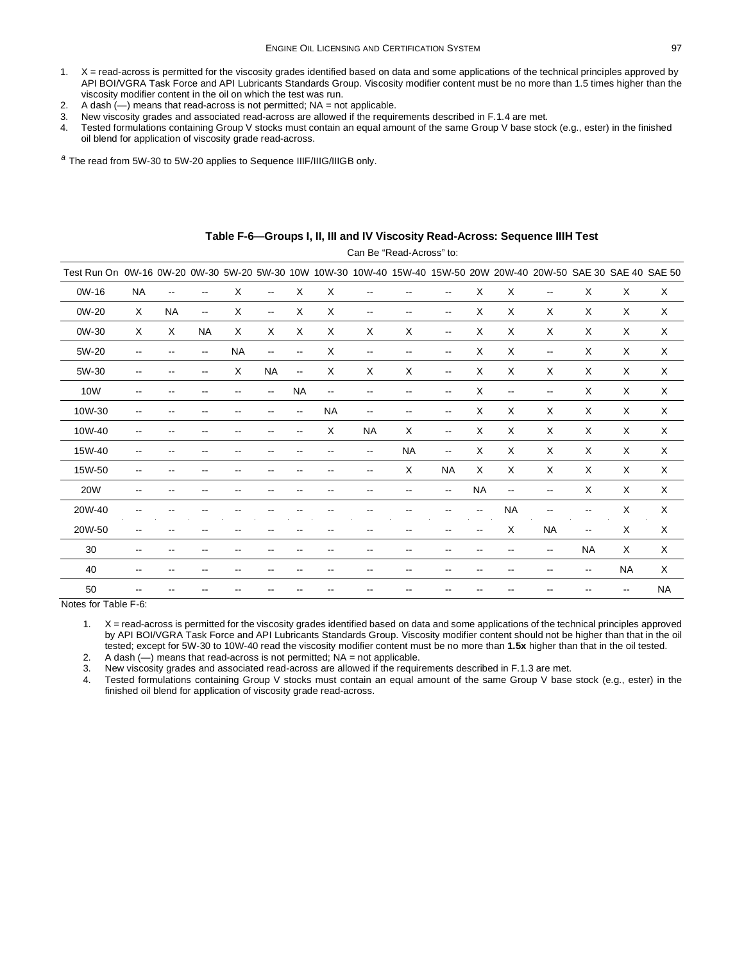- 1. X = read-across is permitted for the viscosity grades identified based on data and some applications of the technical principles approved by API BOI/VGRA Task Force and API Lubricants Standards Group. Viscosity modifier content must be no more than 1.5 times higher than the viscosity modifier content in the oil on which the test was run.
- 2. A dash  $(-)$  means that read-across is not permitted; NA = not applicable.
- 3. New viscosity grades and associated read-across are allowed if the requirements described in [F.1.4](#page-1-1) are met.
- 4. Tested formulations containing Group V stocks must contain an equal amount of the same Group V base stock (e.g., ester) in the finished oil blend for application of viscosity grade read-across.

*<sup>a</sup>* The read from 5W-30 to 5W-20 applies to Sequence IIIF/IIIG/IIIGB only.

<span id="page-6-0"></span>

| Test Run On 0W-16 0W-20 0W-30 5W-20 5W-30 10W 10W-30 10W-40 15W-40 15W-50 20W 20W-40 20W-50 SAE 30 SAE 40 SAE 50 |                          |           |           |           |                          |                          |                          |                          |                          |                          |                          |                          |                          |                          |                          |                           |
|------------------------------------------------------------------------------------------------------------------|--------------------------|-----------|-----------|-----------|--------------------------|--------------------------|--------------------------|--------------------------|--------------------------|--------------------------|--------------------------|--------------------------|--------------------------|--------------------------|--------------------------|---------------------------|
| 0W-16                                                                                                            | <b>NA</b>                | --        | --        | X         | $\overline{\phantom{a}}$ | X                        | X                        | $\overline{\phantom{a}}$ | --                       | $\overline{\phantom{a}}$ | X                        | X                        | $\overline{\phantom{a}}$ | X                        | X                        | X                         |
| 0W-20                                                                                                            | $\times$                 | <b>NA</b> | --        | X         | $\overline{\phantom{a}}$ | X                        | X                        | $\overline{\phantom{a}}$ | $\overline{\phantom{a}}$ | $\overline{\phantom{a}}$ | X                        | X                        | X                        | X                        | X                        | X                         |
| 0W-30                                                                                                            | X                        | X         | <b>NA</b> | X         | X                        | X                        | X                        | X                        | X                        | $\overline{\phantom{a}}$ | X                        | X                        | X                        | $\mathsf X$              | X                        | X                         |
| 5W-20                                                                                                            | --                       | --        | --        | <b>NA</b> | $\overline{a}$           | $\overline{\phantom{a}}$ | X                        | $\overline{\phantom{a}}$ |                          | $\overline{\phantom{a}}$ | X                        | X                        | $\overline{\phantom{a}}$ | X                        | X                        | X                         |
| 5W-30                                                                                                            | --                       | --        | --        | X         | <b>NA</b>                | $\overline{\phantom{a}}$ | $\times$                 | X                        | X                        | $\overline{\phantom{a}}$ | X                        | X                        | X                        | $\times$                 | X                        | $\boldsymbol{\mathsf{X}}$ |
| 10W                                                                                                              | --                       | --        | --        | --        | $\overline{\phantom{a}}$ | <b>NA</b>                | $\overline{\phantom{a}}$ | --                       | $\overline{\phantom{a}}$ | $\overline{\phantom{a}}$ | X                        | $\overline{\phantom{a}}$ | $\overline{\phantom{a}}$ | $\mathsf X$              | X                        | X                         |
| 10W-30                                                                                                           | --                       | --        | --        | --        | $-$                      | $\overline{\phantom{a}}$ | <b>NA</b>                | --                       | --                       | $\overline{\phantom{a}}$ | X                        | X                        | X                        | X                        | X                        | X                         |
| 10W-40                                                                                                           | $\overline{\phantom{a}}$ |           | --        | --        | --                       | $\overline{\phantom{a}}$ | X                        | <b>NA</b>                | X                        | $\overline{\phantom{a}}$ | X                        | X                        | X                        | X                        | X                        | X                         |
| 15W-40                                                                                                           | --                       |           |           |           |                          |                          |                          | --                       | <b>NA</b>                | $\overline{\phantom{a}}$ | X                        | X                        | X                        | $\mathsf X$              | X                        | X                         |
| 15W-50                                                                                                           | --                       |           |           |           |                          |                          |                          | --                       | X                        | <b>NA</b>                | X                        | X                        | X                        | X                        | $\times$                 | $\times$                  |
| <b>20W</b>                                                                                                       | --                       |           |           |           |                          |                          |                          | --                       |                          | $\overline{\phantom{a}}$ | <b>NA</b>                | --                       | $\overline{\phantom{a}}$ | $\times$                 | $\times$                 | $\times$                  |
| 20W-40                                                                                                           | --                       |           |           |           |                          |                          |                          | --                       |                          | --                       | $\overline{\phantom{a}}$ | <b>NA</b>                | --                       | --                       | X                        | $\boldsymbol{\mathsf{X}}$ |
| 20W-50                                                                                                           | --                       | --        |           |           |                          |                          | $-$                      | $\overline{\phantom{a}}$ | $-$                      | $\overline{\phantom{a}}$ | $\overline{\phantom{m}}$ | X                        | <b>NA</b>                | $\overline{\phantom{a}}$ | X                        | X                         |
| 30                                                                                                               | --                       |           |           |           |                          |                          |                          | --                       |                          |                          |                          |                          | $\overline{\phantom{a}}$ | <b>NA</b>                | X                        | X                         |
| 40                                                                                                               | --                       |           |           |           |                          |                          |                          |                          |                          | --                       |                          |                          | $\overline{\phantom{a}}$ | --                       | <b>NA</b>                | X                         |
| 50                                                                                                               |                          |           |           |           |                          |                          |                          |                          |                          |                          |                          |                          |                          |                          | $\overline{\phantom{m}}$ | <b>NA</b>                 |

#### **Table F-6—Groups I, II, III and IV Viscosity Read-Across: Sequence IIIH Test**

Can Be "Read-Across" to:

Notes for [Table F-6:](#page-6-0)

1. X = read-across is permitted for the viscosity grades identified based on data and some applications of the technical principles approved by API BOI/VGRA Task Force and API Lubricants Standards Group. Viscosity modifier content should not be higher than that in the oil tested; except for 5W-30 to 10W-40 read the viscosity modifier content must be no more than **1.5x** higher than that in the oil tested.

2. A dash  $(-)$  means that read-across is not permitted;  $NA = not$  applicable.

3. New viscosity grades and associated read-across are allowed if the requirements described in F.1.3 are met.<br>4. Tested formulations containing Group V stocks must contain an equal amount of the same Group V base

Tested formulations containing Group V stocks must contain an equal amount of the same Group V base stock (e.g., ester) in the finished oil blend for application of viscosity grade read-across.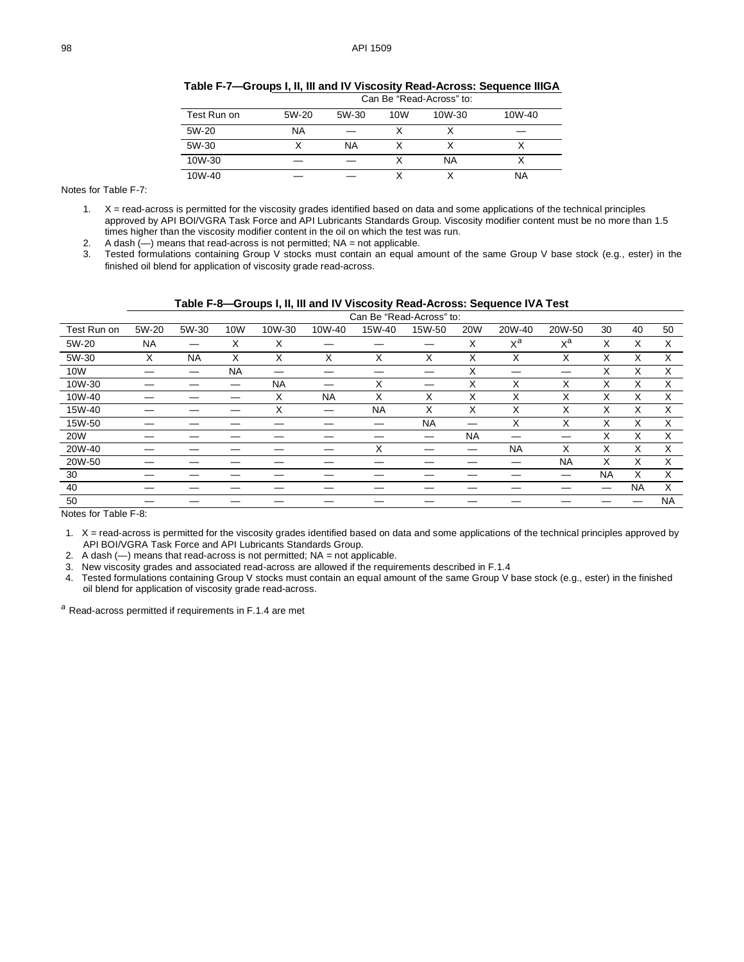|             |       |           |                 | $3011 - 5011$ |        |
|-------------|-------|-----------|-----------------|---------------|--------|
| Test Run on | 5W-20 | 5W-30     | 10 <sub>W</sub> | 10W-30        | 10W-40 |
| 5W-20       | ΝA    |           |                 |               |        |
| 5W-30       |       | <b>NA</b> |                 |               |        |
| 10W-30      |       |           |                 | <b>NA</b>     |        |
| 10W-40      |       |           |                 |               | ΝA     |

**Table F-7—Groups I, II, III and IV Viscosity Read-Across: Sequence IIIGA** Can Be "Read-Across" to:

<span id="page-7-0"></span>Notes for [Table F-7:](#page-7-0)

1. X = read-across is permitted for the viscosity grades identified based on data and some applications of the technical principles approved by API BOI/VGRA Task Force and API Lubricants Standards Group. Viscosity modifier content must be no more than 1.5 times higher than the viscosity modifier content in the oil on which the test was run.

2. A dash  $(-)$  means that read-across is not permitted; NA = not applicable.

3. Tested formulations containing Group V stocks must contain an equal amount of the same Group V base stock (e.g., ester) in the finished oil blend for application of viscosity grade read-across.

<span id="page-7-1"></span>

<span id="page-7-2"></span>

|             | Can Be "Read-Across" to: |           |           |           |           |           |           |            |           |           |           |           |           |
|-------------|--------------------------|-----------|-----------|-----------|-----------|-----------|-----------|------------|-----------|-----------|-----------|-----------|-----------|
| Test Run on | 5W-20                    | 5W-30     | 10W       | 10W-30    | 10W-40    | 15W-40    | 15W-50    | <b>20W</b> | 20W-40    | 20W-50    | 30        | 40        | 50        |
| 5W-20       | <b>NA</b>                |           | X         | X         |           |           |           | X          | $X^a$     | $x^a$     | X         | X         | X         |
| 5W-30       | X                        | <b>NA</b> | X         | X         | X         | X         | X         | X          | X         | X         | X         | X         | X         |
| 10W         |                          |           | <b>NA</b> |           |           |           |           | X          |           |           | X         | X         | X         |
| 10W-30      |                          |           |           | <b>NA</b> |           | X         | _         | X          | X         | X         | X         | X         | X         |
| 10W-40      |                          |           |           | X         | <b>NA</b> | X         | X         | X          | X         | X         | X         | X         | X         |
| 15W-40      |                          |           |           | X         |           | <b>NA</b> | X         | X          | X         | X         | X         | X         | X         |
| 15W-50      |                          |           |           |           |           |           | <b>NA</b> |            | X         | X         | X         | X         | X         |
| <b>20W</b>  |                          |           |           |           |           |           | —         | <b>NA</b>  |           |           | X         | X         | X         |
| 20W-40      |                          |           |           |           |           | X         |           |            | <b>NA</b> | X         | X         | X         | X         |
| 20W-50      |                          |           |           |           |           |           |           |            |           | <b>NA</b> | X         | X         | X         |
| 30          |                          |           |           |           |           |           |           |            |           |           | <b>NA</b> | X         | X         |
| 40          |                          |           |           |           |           |           |           |            |           |           |           | <b>NA</b> | X         |
| 50          |                          |           |           |           |           |           |           |            |           |           |           |           | <b>NA</b> |

Notes for [Table F-8:](#page-7-2)

1. X = read-across is permitted for the viscosity grades identified based on data and some applications of the technical principles approved by API BOI/VGRA Task Force and API Lubricants Standards Group.

2. A dash  $(-)$  means that read-across is not permitted; NA = not applicable.

3. New viscosity grades and associated read-across are allowed if the requirements described in [F.1.4](#page-1-1)<br>4. Tested formulations containing Group V stocks must contain an equal amount of the same Group V I

Tested formulations containing Group V stocks must contain an equal amount of the same Group V base stock (e.g., ester) in the finished oil blend for application of viscosity grade read-across.

*<sup>a</sup>* Read-across permitted if requirements i[n F.1.4](#page-1-1) are met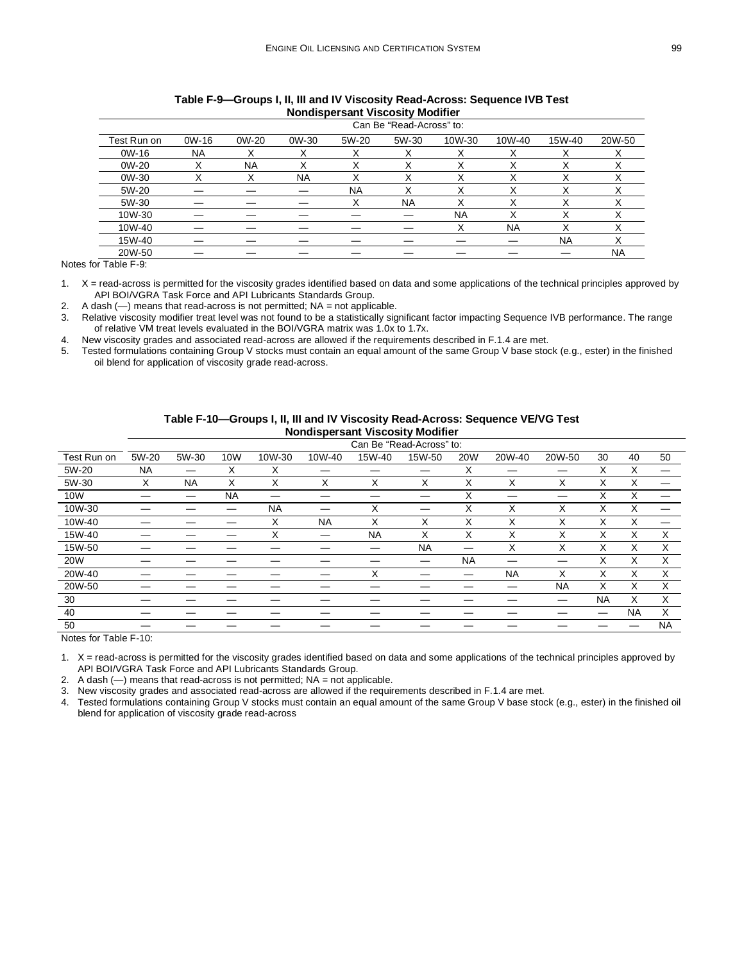<span id="page-8-1"></span>

|             | Can Be "Read-Across" to: |           |           |           |           |             |           |              |           |  |  |  |  |
|-------------|--------------------------|-----------|-----------|-----------|-----------|-------------|-----------|--------------|-----------|--|--|--|--|
| Test Run on | $OW-16$                  | 0W-20     | 0W-30     | 5W-20     | 5W-30     | 10W-30      | 10W-40    | 15W-40       | 20W-50    |  |  |  |  |
| $OW-16$     | NA                       | x         | х         | ́         |           |             |           | Χ            |           |  |  |  |  |
| 0W-20       | v                        | <b>NA</b> | Χ         |           |           |             |           |              |           |  |  |  |  |
| 0W-30       | $\checkmark$             | ⋏         | <b>NA</b> | ⋏         |           | $\check{ }$ |           | $\checkmark$ |           |  |  |  |  |
| 5W-20       |                          |           |           | <b>NA</b> |           | Χ           |           | Χ            |           |  |  |  |  |
| 5W-30       |                          |           |           | Х         | <b>NA</b> | х           |           | х            |           |  |  |  |  |
| 10W-30      |                          |           |           |           |           | <b>NA</b>   |           | v            |           |  |  |  |  |
| 10W-40      |                          |           |           |           |           |             | <b>NA</b> |              |           |  |  |  |  |
| 15W-40      |                          |           |           |           |           |             |           | <b>NA</b>    | v         |  |  |  |  |
| 20W-50      |                          |           |           |           |           |             |           |              | <b>NA</b> |  |  |  |  |

#### **Table F-9—Groups I, II, III and IV Viscosity Read-Across: Sequence IVB Test Nondispersant Viscosity Modifier**

Notes for [Table F-9:](#page-8-1)

1. X = read-across is permitted for the viscosity grades identified based on data and some applications of the technical principles approved by API BOI/VGRA Task Force and API Lubricants Standards Group.

2. A dash  $(-)$  means that read-across is not permitted; NA = not applicable.

3. Relative viscosity modifier treat level was not found to be a statistically significant factor impacting Sequence IVB performance. The range of relative VM treat levels evaluated in the BOI/VGRA matrix was 1.0x to 1.7x.

4. New viscosity grades and associated read-across are allowed if the requirements described in [F.1.4](#page-1-1) are met.

5. Tested formulations containing Group V stocks must contain an equal amount of the same Group V base stock (e.g., ester) in the finished oil blend for application of viscosity grade read-across.

<span id="page-8-0"></span>

|             |           | Can Be "Read-Across" to: |            |           |           |           |           |                   |           |           |           |           |           |
|-------------|-----------|--------------------------|------------|-----------|-----------|-----------|-----------|-------------------|-----------|-----------|-----------|-----------|-----------|
| Test Run on | 5W-20     | 5W-30                    | <b>10W</b> | 10W-30    | 10W-40    | 15W-40    | 15W-50    | 20W               | 20W-40    | 20W-50    | 30        | 40        | 50        |
| 5W-20       | <b>NA</b> |                          | X          | X         |           |           |           | X                 |           |           | X         | X         |           |
| 5W-30       | X         | <b>NA</b>                | X          | X         | X         | X         | X         | Χ                 | Χ         | X         | X         | X         |           |
| 10W         |           |                          | <b>NA</b>  |           |           |           |           | ⋏                 |           |           | ^         | X         |           |
| 10W-30      |           |                          |            | <b>NA</b> |           | X         | –         | $\checkmark$<br>⋏ | Χ         | X         | X         | X         |           |
| 10W-40      |           |                          |            | X         | <b>NA</b> | X         | X         | X                 | X         | X         | X         | X         | —         |
| 15W-40      |           |                          |            | Χ         | –         | <b>NA</b> | X         | X                 | Χ         | X         | X         | Χ         | X         |
| 15W-50      |           |                          |            |           |           |           | <b>NA</b> |                   | X         | X         | X         | X         | X         |
| 20W         |           |                          |            |           |           |           |           | <b>NA</b>         |           |           | X         | X         | X         |
| 20W-40      |           |                          |            |           |           | X         |           |                   | <b>NA</b> | X         | ⋏         | X         | X         |
| 20W-50      |           |                          |            |           |           |           |           |                   |           | <b>NA</b> | X         | X         | X         |
| 30          |           |                          |            |           |           |           |           |                   |           | --        | <b>NA</b> | X         | X         |
| 40          |           |                          |            |           |           |           |           |                   |           |           |           | <b>NA</b> | X         |
| 50          |           |                          |            |           |           |           |           |                   |           |           |           |           | <b>NA</b> |
| $N = 1$     |           |                          |            |           |           |           |           |                   |           |           |           |           |           |

**Table F-10—Groups I, II, III and IV Viscosity Read-Across: Sequence VE/VG Test Nondispersant Viscosity Modifier**

Notes for [Table F-10:](#page-8-0)

1. X = read-across is permitted for the viscosity grades identified based on data and some applications of the technical principles approved by API BOI/VGRA Task Force and API Lubricants Standards Group.

2. A dash  $(-)$  means that read-across is not permitted;  $NA = not$  applicable.

3. New viscosity grades and associated read-across are allowed if the requirements described in [F.1.4](#page-1-1) are met.

4. Tested formulations containing Group V stocks must contain an equal amount of the same Group V base stock (e.g., ester) in the finished oil blend for application of viscosity grade read-across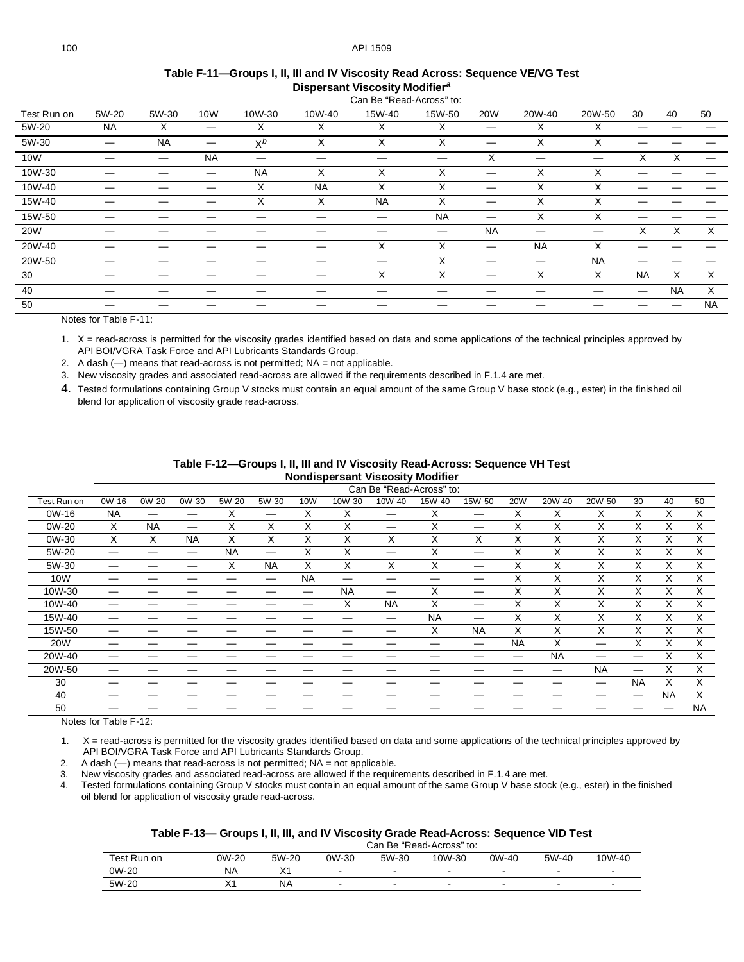<span id="page-9-0"></span>

|             | Can Be "Read-Across" to: |           |                   |           |           |           |           |           |           |           |           |           |           |
|-------------|--------------------------|-----------|-------------------|-----------|-----------|-----------|-----------|-----------|-----------|-----------|-----------|-----------|-----------|
| Test Run on | 5W-20                    | 5W-30     | 10W               | 10W-30    | 10W-40    | 15W-40    | 15W-50    | 20W       | 20W-40    | 20W-50    | 30        | 40        | 50        |
| 5W-20       | <b>NA</b>                | X         | $\hspace{0.05cm}$ | X         | X         | X         | Χ         |           | Χ         | X         |           |           |           |
| 5W-30       |                          | <b>NA</b> | —                 | $X^b$     | X         | X         | X         |           | X         | X         |           |           |           |
| 10W         |                          |           | <b>NA</b>         | –         |           | —         |           | X         | —         |           | X         | X         |           |
| 10W-30      |                          |           | —                 | <b>NA</b> | X         | X         | X         |           | X         | X         |           |           |           |
| 10W-40      |                          |           |                   | X         | <b>NA</b> | X         | X         |           | X         | X         |           |           |           |
| 15W-40      |                          |           |                   | X         | X         | <b>NA</b> | X         | —         | X         | X         |           |           |           |
| 15W-50      |                          |           |                   |           |           | —         | <b>NA</b> | —         | X         | X         |           |           |           |
| <b>20W</b>  |                          |           |                   |           |           |           | –         | <b>NA</b> |           |           | X         | X         | X         |
| 20W-40      |                          |           |                   |           |           | X         | X         |           | <b>NA</b> | X         |           |           |           |
| 20W-50      |                          |           |                   |           |           |           | X         |           |           | <b>NA</b> |           |           |           |
| 30          |                          |           |                   |           |           | X         | X         |           | X         | X         | <b>NA</b> | X         | X         |
| 40          |                          |           |                   |           |           |           |           |           |           |           | –         | <b>NA</b> | X         |
| 50          |                          |           |                   |           |           |           |           |           |           |           |           |           | <b>NA</b> |

#### **Table F-11—Groups I, II, III and IV Viscosity Read Across: Sequence VE/VG Test Dispersant Viscosity Modifier***[a](#page-12-0)*

Notes for [Table F-11:](#page-9-0)

1. X = read-across is permitted for the viscosity grades identified based on data and some applications of the technical principles approved by API BOI/VGRA Task Force and API Lubricants Standards Group.

2. A dash  $(-)$  means that read-across is not permitted;  $NA = not$  applicable.

3. New viscosity grades and associated read-across are allowed if the requirements described in [F.1.4](#page-1-1) are met.

4. Tested formulations containing Group V stocks must contain an equal amount of the same Group V base stock (e.g., ester) in the finished oil blend for application of viscosity grade read-across.

| Table F-12—Groups I, II, III and IV Viscosity Read-Across: Sequence VH Test |
|-----------------------------------------------------------------------------|
| <b>Nondispersant Viscosity Modifier</b>                                     |

<span id="page-9-1"></span>

|             | Can Be "Read-Across" to: |           |           |           |                   |           |           |           |           |           |            |           |           |           |           |           |
|-------------|--------------------------|-----------|-----------|-----------|-------------------|-----------|-----------|-----------|-----------|-----------|------------|-----------|-----------|-----------|-----------|-----------|
| Test Run on | 0W-16                    | 0W-20     | 0W-30     | 5W-20     | 5W-30             | 10W       | 10W-30    | 10W-40    | 15W-40    | 15W-50    | <b>20W</b> | 20W-40    | 20W-50    | 30        | 40        | 50        |
| 0W-16       | <b>NA</b>                |           | —         | Х         | $\hspace{0.05cm}$ | X         | X         |           | х         |           | X          | X         | Х         | X         | Х         | X         |
| 0W-20       | X                        | <b>NA</b> |           | X         | X                 | X         | X         |           | X         |           | X          | X         | X         | X         | X         | X         |
| 0W-30       | X                        | X         | <b>NA</b> | X         | X                 | X         | X         | X         | X         | X         | X          | X         | X         | X         | X         | X         |
| 5W-20       |                          |           | —         | <b>NA</b> |                   | X         | X         |           | X         |           | X          | X         | X         | X         | X         | X         |
| 5W-30       | –                        |           |           | X         | <b>NA</b>         | X         | X         | X         | X         |           | X          | X         | X         | X         | X         | X         |
| 10W         |                          |           |           |           | –                 | <b>NA</b> |           |           |           | —         | X          | X         | X         | X         | X         | X         |
| 10W-30      |                          |           |           |           |                   | –         | <b>NA</b> | --        | X         | –         | X          | X         | X         | X         | X         | X         |
| 10W-40      | –                        |           |           |           |                   |           | X         | <b>NA</b> | х         |           | X          | X         | X         | X         | X         | X         |
| 15W-40      |                          |           |           |           |                   |           |           | –         | <b>NA</b> | —         | X          | X         | X         | X         | X         | X         |
| 15W-50      | –                        |           |           |           |                   |           |           | —         | Χ         | <b>NA</b> | X          | X         | X         | X         | X         | X         |
| 20W         |                          |           |           |           |                   |           |           |           |           |           | <b>NA</b>  | X         |           | X         | X         | X         |
| 20W-40      |                          |           |           |           |                   |           |           |           |           |           | —          | <b>NA</b> | --        | –         | X         | X         |
| 20W-50      |                          |           |           |           |                   |           |           |           |           |           |            |           | <b>NA</b> | —         | X         | X         |
| 30          |                          |           |           |           |                   |           |           |           |           |           |            |           | –         | <b>NA</b> | X         | X         |
| 40          |                          |           |           |           |                   |           |           |           |           |           |            |           |           | —         | <b>NA</b> | X         |
| 50          |                          |           |           |           |                   |           |           |           |           |           |            |           |           |           |           | <b>NA</b> |

Notes for [Table F-12:](#page-9-1)

1. X = read-across is permitted for the viscosity grades identified based on data and some applications of the technical principles approved by API BOI/VGRA Task Force and API Lubricants Standards Group.

2. A dash  $(-)$  means that read-across is not permitted;  $NA = not$  applicable.<br>3. New viscosity grades and associated read-across are allowed if the required New viscosity grades and associated read-across are allowed if the requirements described in [F.1.4](#page-1-1) are met.

4. Tested formulations containing Group V stocks must contain an equal amount of the same Group V base stock (e.g., ester) in the finished oil blend for application of viscosity grade read-across.

<span id="page-9-2"></span>

|             | Can Be "Read-Across" to: |           |        |       |        |       |       |        |  |  |  |
|-------------|--------------------------|-----------|--------|-------|--------|-------|-------|--------|--|--|--|
| Test Run on | 0W-20                    | 5W-20     | 0W-30  | 5W-30 | 10W-30 | 0W-40 | 5W-40 | 10W-40 |  |  |  |
| 0W-20       | NA                       |           | $\sim$ |       |        |       | -     |        |  |  |  |
| 5W-20       | ∧∣                       | <b>NA</b> | $\sim$ |       |        |       | -     |        |  |  |  |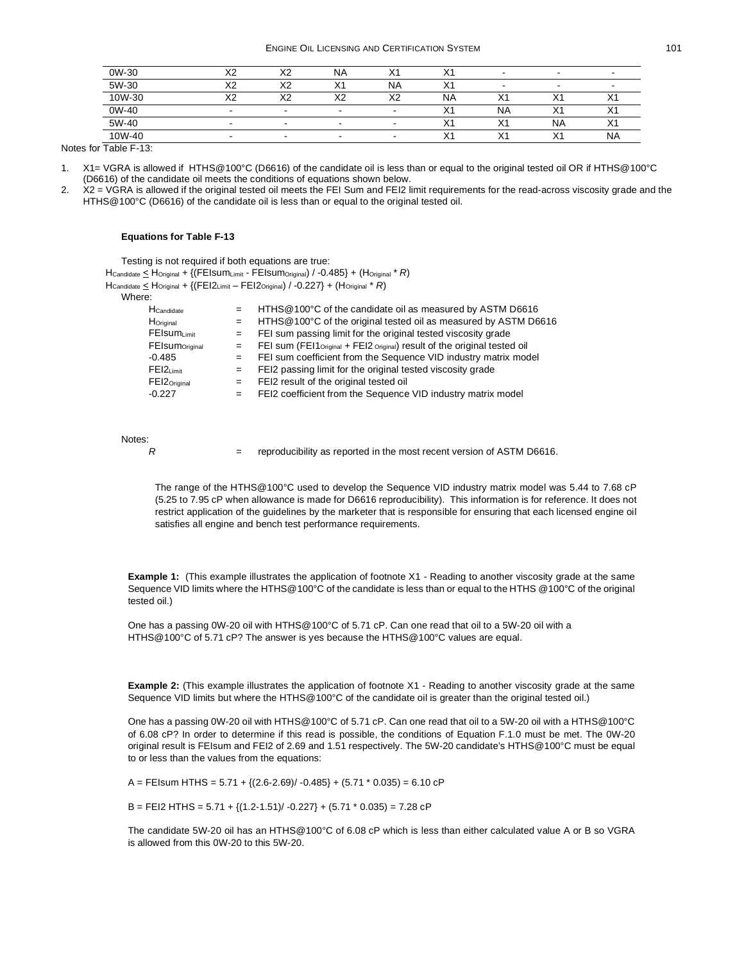| 0W-30  | $\sqrt{2}$<br>́∿∠ | $\sqrt{2}$ | <b>NA</b>                | $\mathcal{L}$ | ⌒                  | -         | $\overline{\phantom{a}}$ |           |
|--------|-------------------|------------|--------------------------|---------------|--------------------|-----------|--------------------------|-----------|
| 5W-30  | $\sqrt{2}$<br>∼   | $\sqrt{2}$ | $\sqrt{4}$               | <b>NA</b>     | $\checkmark$<br>Y. | -         | $\overline{\phantom{a}}$ |           |
| 10W-30 | $\sqrt{2}$<br>́   |            | vη                       | v٥<br>∼       | ΝA                 | ⌒         |                          |           |
| 0W-40  |                   |            | $\overline{\phantom{a}}$ |               | ^                  | <b>NA</b> |                          |           |
| 5W-40  |                   |            |                          |               | ⌒                  |           | <b>NA</b>                |           |
| 10W-40 |                   | -          |                          |               | ⌒                  | $\sim$    | $\sqrt{ }$               | <b>NA</b> |

Notes for [Table F-13:](#page-9-2)

1. X1= VGRA is allowed if HTHS@100°C (D6616) of the candidate oil is less than or equal to the original tested oil OR if HTHS@100°C (D6616) of the candidate oil meets the conditions of equations shown below.

2.  $X = VGRA$  is allowed if the original tested oil meets the FEI Sum and FEI2 limit requirements for the read-across viscosity grade and the HTHS@100°C (D6616) of the candidate oil is less than or equal to the original tested oil.

#### **Equations fo[r Table F-13](#page-9-2)**

Testing is not required if both equations are true: HCandidate < HOriginal + {(FEIsumLimit - FEIsumOriginal) / -0.485} + (HOriginal \* *R*)

HCandidate < HOriginal + {(FEI2Limit – FEI2Original) / -0.227} + (HOriginal \* *R*)

Where:

| HCandidate                        | $=$ | HTHS@100°C of the candidate oil as measured by ASTM D6616                                          |
|-----------------------------------|-----|----------------------------------------------------------------------------------------------------|
| Horiginal                         | $=$ | HTHS@100°C of the original tested oil as measured by ASTM D6616                                    |
| FEIsumLimit                       | $=$ | FEI sum passing limit for the original tested viscosity grade                                      |
| <b>FEIsum</b> <sub>Original</sub> | $=$ | FEI sum (FEI1 $_{\text{Original}}$ + FEI2 $_{\text{Original}}$ ) result of the original tested oil |
| $-0.485$                          | $=$ | FEI sum coefficient from the Sequence VID industry matrix model                                    |
| $FE12$ Limit                      | $=$ | FEI2 passing limit for the original tested viscosity grade                                         |
| $FEI2_{Original}$                 | $=$ | FEI2 result of the original tested oil                                                             |
| $-0.227$                          | $=$ | FEI2 coefficient from the Sequence VID industry matrix model                                       |
|                                   |     |                                                                                                    |

Notes:

*R*  $=$  reproducibility as reported in the most recent version of ASTM D6616.

The range of the HTHS@100°C used to develop the Sequence VID industry matrix model was 5.44 to 7.68 cP (5.25 to 7.95 cP when allowance is made for D6616 reproducibility). This information is for reference. It does not restrict application of the guidelines by the marketer that is responsible for ensuring that each licensed engine oil satisfies all engine and bench test performance requirements.

**Example 1:** (This example illustrates the application of footnote X1 - Reading to another viscosity grade at the same Sequence VID limits where the HTHS@100°C of the candidate is less than or equal to the HTHS @100°C of the original tested oil.)

One has a passing 0W-20 oil with HTHS@100°C of 5.71 cP. Can one read that oil to a 5W-20 oil with a HTHS@100°C of 5.71 cP? The answer is yes because the HTHS@100°C values are equal.

**Example 2:** (This example illustrates the application of footnote X1 - Reading to another viscosity grade at the same Sequence VID limits but where the HTHS@100°C of the candidate oil is greater than the original tested oil.)

One has a passing 0W-20 oil with HTHS@100°C of 5.71 cP. Can one read that oil to a 5W-20 oil with a HTHS@100°C of 6.08 cP? In order to determine if this read is possible, the conditions of Equation F.1.0 must be met. The 0W-20 original result is FEIsum and FEI2 of 2.69 and 1.51 respectively. The 5W-20 candidate's HTHS@100°C must be equal to or less than the values from the equations:

A = FEIsum HTHS =  $5.71 + {(2.6-2.69)/ -0.485} + (5.71 * 0.035) = 6.10 \text{ cP}$ 

B = FEI2 HTHS =  $5.71 + \{(1.2 - 1.51)/ -0.227\} + (5.71 * 0.035) = 7.28$  cP

The candidate 5W-20 oil has an HTHS@100°C of 6.08 cP which is less than either calculated value A or B so VGRA is allowed from this 0W-20 to this 5W-20.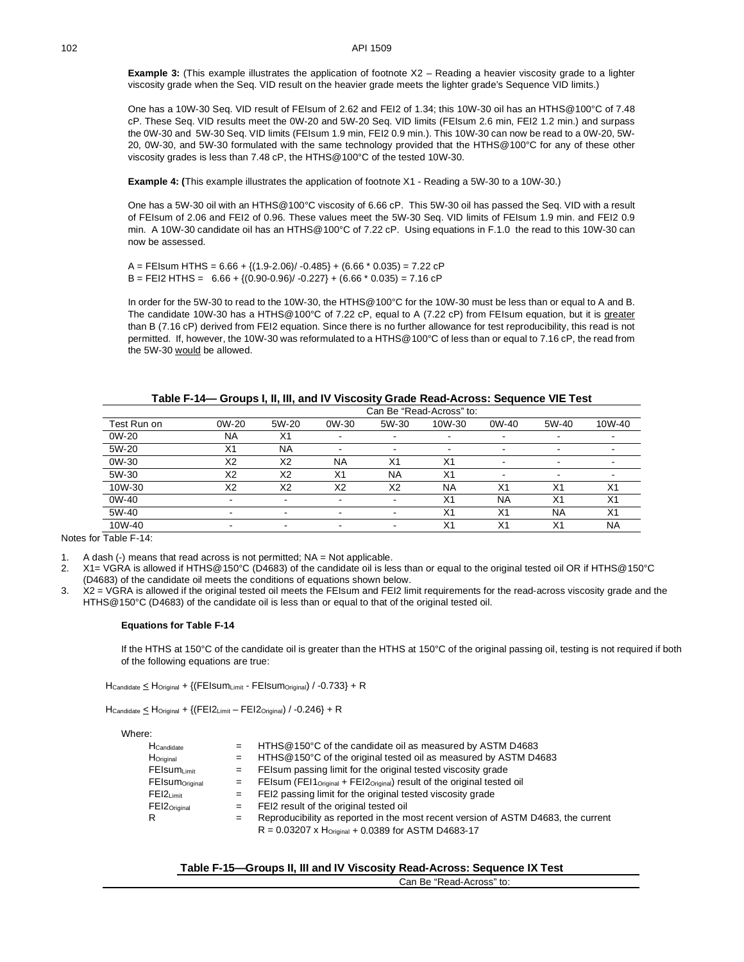**Example 3:** (This example illustrates the application of footnote X2 – Reading a heavier viscosity grade to a lighter viscosity grade when the Seq. VID result on the heavier grade meets the lighter grade's Sequence VID limits.)

One has a 10W-30 Seq. VID result of FEIsum of 2.62 and FEI2 of 1.34; this 10W-30 oil has an HTHS@100°C of 7.48 cP. These Seq. VID results meet the 0W-20 and 5W-20 Seq. VID limits (FEIsum 2.6 min, FEI2 1.2 min.) and surpass the 0W-30 and 5W-30 Seq. VID limits (FEIsum 1.9 min, FEI2 0.9 min.). This 10W-30 can now be read to a 0W-20, 5W-20, 0W-30, and 5W-30 formulated with the same technology provided that the HTHS@100°C for any of these other viscosity grades is less than 7.48 cP, the HTHS@100°C of the tested 10W-30.

<span id="page-11-0"></span>**Example 4: (**This example illustrates the application of footnote X1 - Reading a 5W-30 to a 10W-30.)

One has a 5W-30 oil with an HTHS@100°C viscosity of 6.66 cP. This 5W-30 oil has passed the Seq. VID with a result of FEIsum of 2.06 and FEI2 of 0.96. These values meet the 5W-30 Seq. VID limits of FEIsum 1.9 min. and FEI2 0.9 min. A 10W-30 candidate oil has an HTHS@100°C of 7.22 cP. Using equations in F.1.0 the read to this 10W-30 can now be assessed.

 $A = FEIsum HTHS = 6.66 + \{(1.9-2.06)/ -0.485\} + (6.66 * 0.035) = 7.22$  cP  $B = FE12$  HTHS =  $6.66 + \{(0.90 - 0.96)/ -0.227\} + (6.66 * 0.035) = 7.16$  cP

In order for the 5W-30 to read to the 10W-30, the HTHS@100°C for the 10W-30 must be less than or equal to A and B. The candidate 10W-30 has a HTHS@100°C of 7.22 cP, equal to A (7.22 cP) from FEIsum equation, but it is greater than B (7.16 cP) derived from FEI2 equation. Since there is no further allowance for test reproducibility, this read is not permitted. If, however, the 10W-30 was reformulated to a HTHS@100°C of less than or equal to 7.16 cP, the read from the 5W-30 would be allowed.

<span id="page-11-1"></span>

| Can Be "Read-Across" to: |           |                |                          |                |                |                          |                          |                |  |  |  |
|--------------------------|-----------|----------------|--------------------------|----------------|----------------|--------------------------|--------------------------|----------------|--|--|--|
| Test Run on              | 0W-20     | 5W-20          | 0W-30                    | 5W-30          | 10W-30         | 0W-40                    | 5W-40                    | 10W-40         |  |  |  |
| 0W-20                    | <b>NA</b> | X <sub>1</sub> |                          | -              | -              | -                        | $\overline{\phantom{a}}$ |                |  |  |  |
| 5W-20                    | X1        | <b>NA</b>      | -                        | -              | -              | $\overline{\phantom{a}}$ | $\overline{\phantom{a}}$ |                |  |  |  |
| 0W-30                    | X2        | X <sub>2</sub> | <b>NA</b>                | X <sub>1</sub> | X <sub>1</sub> | -                        | $\overline{\phantom{a}}$ |                |  |  |  |
| 5W-30                    | X2        | X <sub>2</sub> | X <sub>1</sub>           | <b>NA</b>      | X <sub>1</sub> |                          | $\overline{\phantom{a}}$ |                |  |  |  |
| 10W-30                   | X2        | X <sub>2</sub> | X <sub>2</sub>           | X <sub>2</sub> | <b>NA</b>      | X <sub>1</sub>           | X <sub>1</sub>           | X <sub>1</sub> |  |  |  |
| 0W-40                    | -         |                |                          |                | X1             | <b>NA</b>                | X <sub>1</sub>           | X <sub>1</sub> |  |  |  |
| 5W-40                    |           |                |                          |                | X <sub>1</sub> | X <sub>1</sub>           | <b>NA</b>                | X <sub>1</sub> |  |  |  |
| 10W-40                   |           |                | $\overline{\phantom{a}}$ |                | X <sub>1</sub> | X <sub>1</sub>           | X <sub>1</sub>           | <b>NA</b>      |  |  |  |

|  | Table F-14— Groups I, II, III, and IV Viscosity Grade Read-Across: Sequence VIE Test |
|--|--------------------------------------------------------------------------------------|
|  |                                                                                      |

Notes for [Table F-14:](#page-11-1)

1. A dash  $(-)$  means that read across is not permitted;  $NA = Not$  applicable.

- 2. X1= VGRA is allowed if HTHS@150°C (D4683) of the candidate oil is less than or equal to the original tested oil OR if HTHS@150°C (D4683) of the candidate oil meets the conditions of equations shown below.
- 3. X2 = VGRA is allowed if the original tested oil meets the FEIsum and FEI2 limit requirements for the read-across viscosity grade and the HTHS@150°C (D4683) of the candidate oil is less than or equal to that of the original tested oil.

#### **Equations fo[r Table F-14](#page-11-1)**

If the HTHS at 150°C of the candidate oil is greater than the HTHS at 150°C of the original passing oil, testing is not required if both of the following equations are true:

 $H_{\text{Candidate}} \leq H_{\text{Original}} + \{ (FElsum<sub>Limit</sub> - FEIsum<sub>Original</sub>) / -0.733 \} + R$ 

 $H_{\text{Candidate}} \leq H_{\text{Original}} + \{ (FEl2_{\text{Limit}} - FEI2_{\text{Original}}) / -0.246 \} + R$ 

Where:

| HCandidate                 |                           | $=$ HTHS @ 150 $\degree$ C of the candidate oil as measured by ASTM D4683                         |
|----------------------------|---------------------------|---------------------------------------------------------------------------------------------------|
| Horiginal                  |                           | $=$ HTHS @ 150°C of the original tested oil as measured by ASTM D4683                             |
| FEIsumLimit                | $=$ $\blacksquare$        | FEIsum passing limit for the original tested viscosity grade                                      |
| FEIsum <sub>Original</sub> | $\mathbf{r} = \mathbf{r}$ | FEIsum (FEI1 $_{\text{Original}}$ + FEI2 $_{\text{Original}}$ ) result of the original tested oil |
| $FE12_{Limit}$             | $=$                       | FEI2 passing limit for the original tested viscosity grade                                        |
| $FEI2_{Original}$          |                           | $=$ FEI2 result of the original tested oil                                                        |
| R                          | $=$                       | Reproducibility as reported in the most recent version of ASTM D4683, the current                 |
|                            |                           | $R = 0.03207$ x $H_{Original} + 0.0389$ for ASTM D4683-17                                         |

#### **Table F-15—Groups II, III and IV Viscosity Read-Across: Sequence IX Test**

Can Be "Read-Across" to: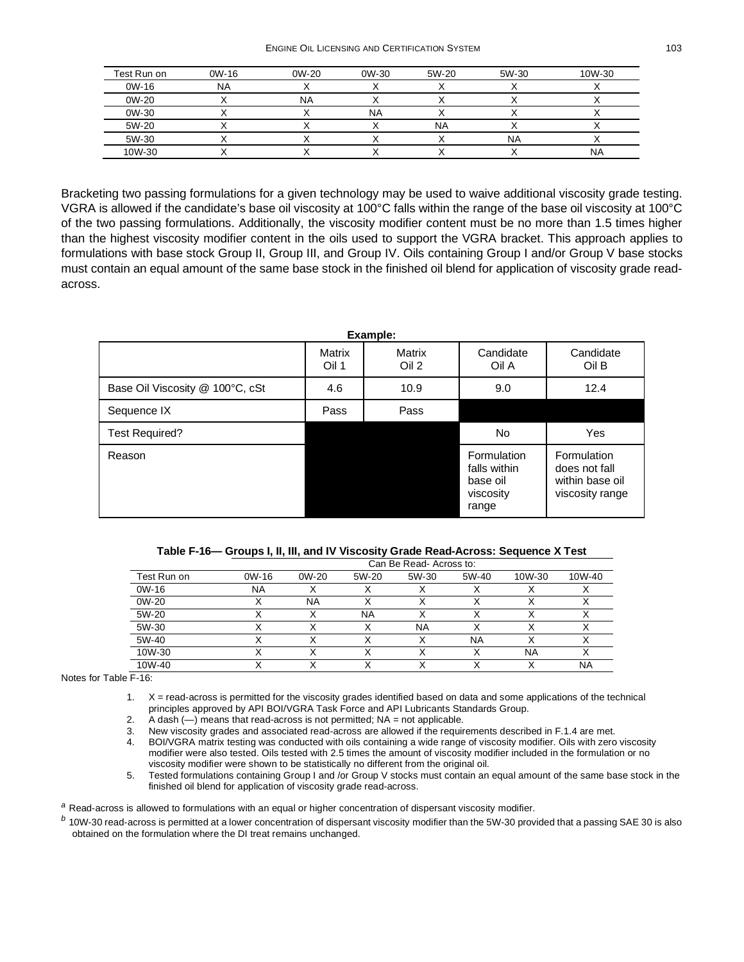ENGINE OIL LICENSING AND CERTIFICATION SYSTEM 103

| Test Run on | 0W-16     | $0W-20$ | 0W-30     | 5W-20     | 5W-30 | 10W-30 |
|-------------|-----------|---------|-----------|-----------|-------|--------|
| 0W-16       | <b>NA</b> |         |           |           |       |        |
| 0W-20       |           | NA      |           |           |       |        |
| 0W-30       |           |         | <b>NA</b> |           |       |        |
| 5W-20       |           |         |           | <b>NA</b> |       |        |
| 5W-30       |           |         |           |           | NA    |        |
| 10W-30      |           |         |           |           |       | NA     |

Bracketing two passing formulations for a given technology may be used to waive additional viscosity grade testing. VGRA is allowed if the candidate's base oil viscosity at 100°C falls within the range of the base oil viscosity at 100°C of the two passing formulations. Additionally, the viscosity modifier content must be no more than 1.5 times higher than the highest viscosity modifier content in the oils used to support the VGRA bracket. This approach applies to formulations with base stock Group II, Group III, and Group IV. Oils containing Group I and/or Group V base stocks must contain an equal amount of the same base stock in the finished oil blend for application of viscosity grade readacross.

| Example:                        |                 |                 |                                                               |                                                                    |  |  |
|---------------------------------|-----------------|-----------------|---------------------------------------------------------------|--------------------------------------------------------------------|--|--|
|                                 | Matrix<br>Oil 1 | Matrix<br>Oil 2 | Candidate<br>Oil A                                            | Candidate<br>Oil B                                                 |  |  |
| Base Oil Viscosity @ 100°C, cSt | 4.6             | 10.9            | 9.0                                                           | 12.4                                                               |  |  |
| Sequence IX                     | Pass            | Pass            |                                                               |                                                                    |  |  |
| Test Required?                  |                 |                 | No                                                            | Yes                                                                |  |  |
| Reason                          |                 |                 | Formulation<br>falls within<br>base oil<br>viscosity<br>range | Formulation<br>does not fall<br>within base oil<br>viscosity range |  |  |

|  |  |  | Table F-16— Groups I, II, III, and IV Viscosity Grade Read-Across: Sequence X Test |
|--|--|--|------------------------------------------------------------------------------------|
|--|--|--|------------------------------------------------------------------------------------|

<span id="page-12-2"></span>

|             | Can Be Read-Across to: |           |           |       |       |        |        |  |
|-------------|------------------------|-----------|-----------|-------|-------|--------|--------|--|
| Test Run on | $OW-16$                | 0W-20     | 5W-20     | 5W-30 | 5W-40 | 10W-30 | 10W-40 |  |
| 0W-16       | <b>NA</b>              |           |           |       |       |        |        |  |
| 0W-20       |                        | <b>NA</b> |           |       |       |        |        |  |
| 5W-20       |                        |           | <b>NA</b> |       |       |        |        |  |
| 5W-30       |                        |           |           | NA    |       |        |        |  |
| 5W-40       |                        |           |           |       | NA    |        |        |  |
| 10W-30      |                        |           |           |       |       | NA     |        |  |
| 10W-40      |                        |           |           |       |       |        | NA     |  |

Notes for [Table F-16:](#page-12-2)

1. X = read-across is permitted for the viscosity grades identified based on data and some applications of the technical principles approved by API BOI/VGRA Task Force and API Lubricants Standards Group.

2. A dash (—) means that read-across is not permitted; NA = not applicable.

3. New viscosity grades and associated read-across are allowed if the requirements described in [F.1.4](#page-1-1) are met.

4. BOI/VGRA matrix testing was conducted with oils containing a wide range of viscosity modifier. Oils with zero viscosity modifier were also tested. Oils tested with 2.5 times the amount of viscosity modifier included in the formulation or no viscosity modifier were shown to be statistically no different from the original oil.

5. Tested formulations containing Group I and /or Group V stocks must contain an equal amount of the same base stock in the finished oil blend for application of viscosity grade read-across.

<span id="page-12-0"></span>*<sup>a</sup>* Read-across is allowed to formulations with an equal or higher concentration of dispersant viscosity modifier.

<span id="page-12-1"></span>*<sup>b</sup>* 10W-30 read-across is permitted at a lower concentration of dispersant viscosity modifier than the 5W-30 provided that a passing SAE 30 is also obtained on the formulation where the DI treat remains unchanged.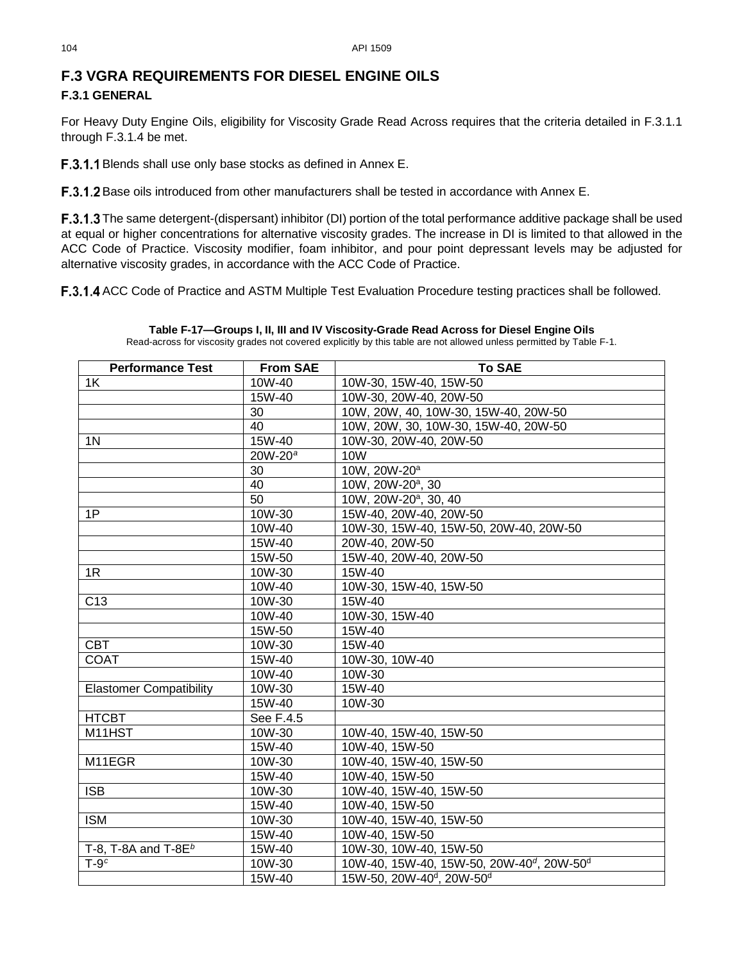## **F.3 VGRA REQUIREMENTS FOR DIESEL ENGINE OILS F.3.1 GENERAL**

For Heavy Duty Engine Oils, eligibility for Viscosity Grade Read Across requires that the criteria detailed in [F.3.1.1](#page-13-2) through [F.3.1.4](#page-13-3) be met.

<span id="page-13-2"></span>F.3.1.1 Blends shall use only base stocks as defined in Annex E.

**F.3.1.2** Base oils introduced from other manufacturers shall be tested in accordance with Annex E.

F.3.1.3 The same detergent-(dispersant) inhibitor (DI) portion of the total performance additive package shall be used at equal or higher concentrations for alternative viscosity grades. The increase in DI is limited to that allowed in the ACC Code of Practice. Viscosity modifier, foam inhibitor, and pour point depressant levels may be adjusted for alternative viscosity grades, in accordance with the ACC Code of Practice.

<span id="page-13-3"></span><span id="page-13-0"></span>F.3.1.4 ACC Code of Practice and ASTM Multiple Test Evaluation Procedure testing practices shall be followed.

<span id="page-13-5"></span><span id="page-13-4"></span>**Table F-17—Groups I, II, III and IV Viscosity-Grade Read Across for Diesel Engine Oils**

Read-across for viscosity grades not covered explicitly by this table are not allowed unless permitted by Table F-1.

<span id="page-13-1"></span>

| <b>Performance Test</b>        | <b>From SAE</b> | <b>To SAE</b>                                                     |
|--------------------------------|-----------------|-------------------------------------------------------------------|
| 1 <sup>K</sup>                 | 10W-40          | 10W-30, 15W-40, 15W-50                                            |
|                                | 15W-40          | 10W-30, 20W-40, 20W-50                                            |
|                                | 30              | 10W, 20W, 40, 10W-30, 15W-40, 20W-50                              |
|                                | 40              | 10W, 20W, 30, 10W-30, 15W-40, 20W-50                              |
| 1 <sub>N</sub>                 | 15W-40          | 10W-30, 20W-40, 20W-50                                            |
|                                | $20W-20^a$      | <b>10W</b>                                                        |
|                                | 30              | 10W, 20W-20 <sup>a</sup>                                          |
|                                | 40              | 10W, 20W-20 <sup>a</sup> , 30                                     |
|                                | 50              | 10W, 20W-20 <sup>a</sup> , 30, 40                                 |
| 1P                             | 10W-30          | 15W-40, 20W-40, 20W-50                                            |
|                                | 10W-40          | 10W-30, 15W-40, 15W-50, 20W-40, 20W-50                            |
|                                | 15W-40          | 20W-40, 20W-50                                                    |
|                                | 15W-50          | 15W-40, 20W-40, 20W-50                                            |
| 1R                             | 10W-30          | 15W-40                                                            |
|                                | 10W-40          | 10W-30, 15W-40, 15W-50                                            |
| C <sub>13</sub>                | 10W-30          | 15W-40                                                            |
|                                | 10W-40          | 10W-30, 15W-40                                                    |
|                                | 15W-50          | 15W-40                                                            |
| <b>CBT</b>                     | 10W-30          | 15W-40                                                            |
| <b>COAT</b>                    | 15W-40          | 10W-30, 10W-40                                                    |
|                                | 10W-40          | 10W-30                                                            |
| <b>Elastomer Compatibility</b> | 10W-30          | 15W-40                                                            |
|                                | 15W-40          | 10W-30                                                            |
| <b>HTCBT</b>                   | See F.4.5       |                                                                   |
| M11HST                         | 10W-30          | 10W-40, 15W-40, 15W-50                                            |
|                                | 15W-40          | 10W-40, 15W-50                                                    |
| M11EGR                         | 10W-30          | 10W-40, 15W-40, 15W-50                                            |
|                                | 15W-40          | 10W-40, 15W-50                                                    |
| <b>ISB</b>                     | 10W-30          | 10W-40, 15W-40, 15W-50                                            |
|                                | 15W-40          | 10W-40, 15W-50                                                    |
| <b>ISM</b>                     | 10W-30          | 10W-40, 15W-40, 15W-50                                            |
|                                | 15W-40          | 10W-40, 15W-50                                                    |
| T-8, T-8A and T-8E $b$         | 15W-40          | 10W-30, 10W-40, 15W-50                                            |
| $T-9c$                         | 10W-30          | 10W-40, 15W-40, 15W-50, 20W-40 <sup>d</sup> , 20W-50 <sup>d</sup> |
|                                | 15W-40          | 15W-50, 20W-40 <sup>d</sup> , 20W-50 <sup>d</sup>                 |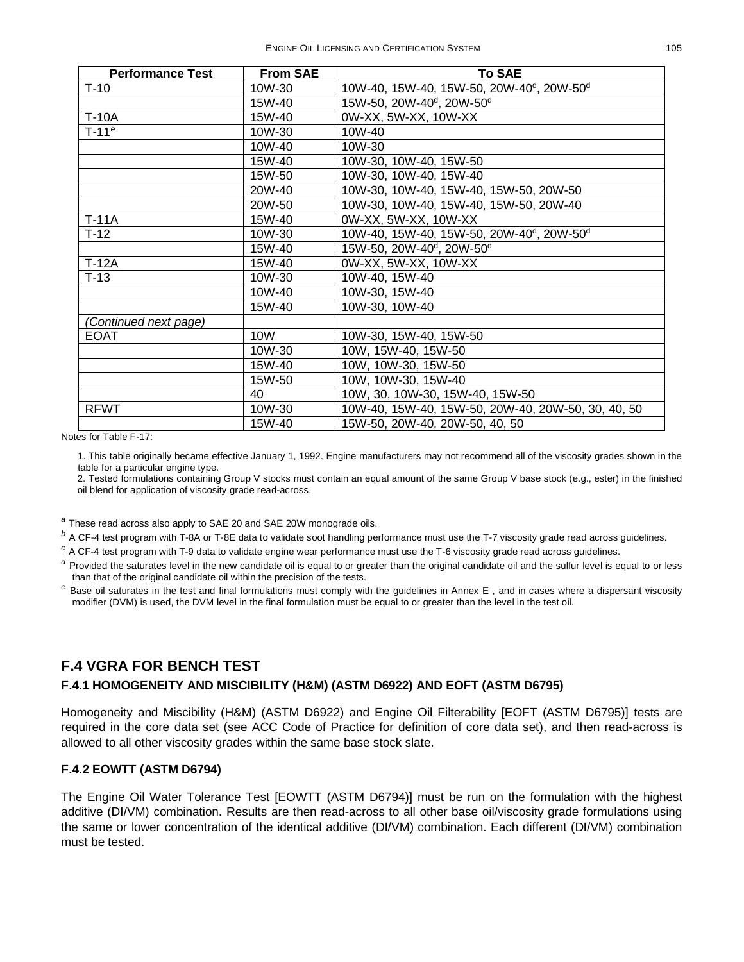| <b>Performance Test</b> | <b>From SAE</b> | <b>To SAE</b>                                                     |
|-------------------------|-----------------|-------------------------------------------------------------------|
| $T-10$                  | 10W-30          | 10W-40, 15W-40, 15W-50, 20W-40 <sup>d</sup> , 20W-50 <sup>d</sup> |
|                         | 15W-40          | 15W-50, 20W-40 <sup>d</sup> , 20W-50 <sup>d</sup>                 |
| <b>T-10A</b>            | 15W-40          | 0W-XX, 5W-XX, 10W-XX                                              |
| $T-11e$                 | 10W-30          | 10W-40                                                            |
|                         | 10W-40          | 10W-30                                                            |
|                         | 15W-40          | 10W-30, 10W-40, 15W-50                                            |
|                         | 15W-50          | 10W-30, 10W-40, 15W-40                                            |
|                         | 20W-40          | 10W-30, 10W-40, 15W-40, 15W-50, 20W-50                            |
|                         | 20W-50          | 10W-30, 10W-40, 15W-40, 15W-50, 20W-40                            |
| $T-11A$                 | 15W-40          | 0W-XX, 5W-XX, 10W-XX                                              |
| $T-12$                  | 10W-30          | 10W-40, 15W-40, 15W-50, 20W-40 <sup>d</sup> , 20W-50 <sup>d</sup> |
|                         | 15W-40          | 15W-50, 20W-40 <sup>d</sup> , 20W-50 <sup>d</sup>                 |
| $T-12A$                 | 15W-40          | 0W-XX, 5W-XX, 10W-XX                                              |
| $T-13$                  | 10W-30          | 10W-40, 15W-40                                                    |
|                         | 10W-40          | 10W-30, 15W-40                                                    |
|                         | 15W-40          | 10W-30, 10W-40                                                    |
| (Continued next page)   |                 |                                                                   |
| <b>EOAT</b>             | 10W             | 10W-30, 15W-40, 15W-50                                            |
|                         | 10W-30          | 10W, 15W-40, 15W-50                                               |
|                         | 15W-40          | 10W, 10W-30, 15W-50                                               |
|                         | 15W-50          | 10W, 10W-30, 15W-40                                               |
|                         | 40              | 10W, 30, 10W-30, 15W-40, 15W-50                                   |
| <b>RFWT</b>             | 10W-30          | 10W-40, 15W-40, 15W-50, 20W-40, 20W-50, 30, 40, 50                |
|                         | 15W-40          | 15W-50, 20W-40, 20W-50, 40, 50                                    |

Notes for [Table F-17:](#page-13-0)

1. This table originally became effective January 1, 1992. Engine manufacturers may not recommend all of the viscosity grades shown in the table for a particular engine type.

2. Tested formulations containing Group V stocks must contain an equal amount of the same Group V base stock (e.g., ester) in the finished oil blend for application of viscosity grade read-across.

*<sup>a</sup>* These read across also apply to SAE 20 and SAE 20W monograde oils.

*<sup>b</sup>* A CF-4 test program with T-8A or T-8E data to validate soot handling performance must use the T-7 viscosity grade read across guidelines.

*<sup>c</sup>* A CF-4 test program with T-9 data to validate engine wear performance must use the T-6 viscosity grade read across guidelines.

*<sup>d</sup>* Provided the saturates level in the new candidate oil is equal to or greater than the original candidate oil and the sulfur level is equal to or less than that of the original candidate oil within the precision of the tests.

*<sup>e</sup>* Base oil saturates in the test and final formulations must comply with the guidelines in Annex E , and in cases where a dispersant viscosity modifier (DVM) is used, the DVM level in the final formulation must be equal to or greater than the level in the test oil.

## <span id="page-14-0"></span>**F.4 VGRA FOR BENCH TEST**

## **F.4.1 HOMOGENEITY AND MISCIBILITY (H&M) (ASTM D6922) AND EOFT (ASTM D6795)**

Homogeneity and Miscibility (H&M) (ASTM D6922) and Engine Oil Filterability [EOFT (ASTM D6795)] tests are required in the core data set (see ACC Code of Practice for definition of core data set), and then read-across is allowed to all other viscosity grades within the same base stock slate.

### **F.4.2 EOWTT (ASTM D6794)**

The Engine Oil Water Tolerance Test [EOWTT (ASTM D6794)] must be run on the formulation with the highest additive (DI/VM) combination. Results are then read-across to all other base oil/viscosity grade formulations using the same or lower concentration of the identical additive (DI/VM) combination. Each different (DI/VM) combination must be tested.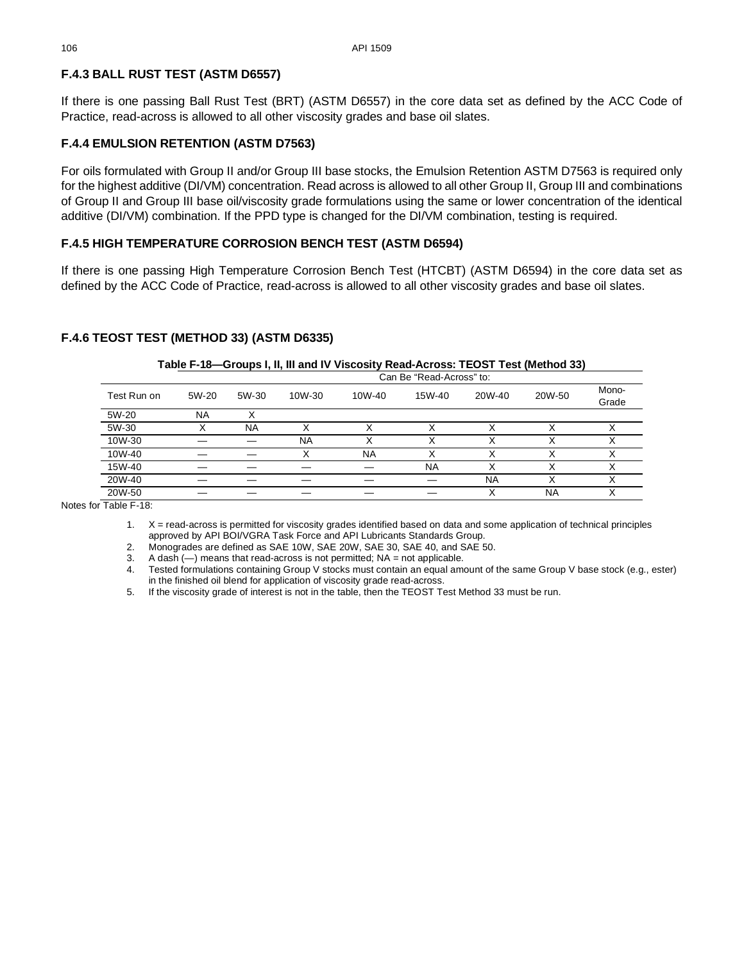## **F.4.3 BALL RUST TEST (ASTM D6557)**

If there is one passing Ball Rust Test (BRT) (ASTM D6557) in the core data set as defined by the ACC Code of Practice, read-across is allowed to all other viscosity grades and base oil slates.

## **F.4.4 EMULSION RETENTION (ASTM D7563)**

For oils formulated with Group II and/or Group III base stocks, the Emulsion Retention ASTM D7563 is required only for the highest additive (DI/VM) concentration. Read across is allowed to all other Group II, Group III and combinations of Group II and Group III base oil/viscosity grade formulations using the same or lower concentration of the identical additive (DI/VM) combination. If the PPD type is changed for the DI/VM combination, testing is required.

## **F.4.5 HIGH TEMPERATURE CORROSION BENCH TEST (ASTM D6594)**

If there is one passing High Temperature Corrosion Bench Test (HTCBT) (ASTM D6594) in the core data set as defined by the ACC Code of Practice, read-across is allowed to all other viscosity grades and base oil slates.

## <span id="page-15-0"></span>**F.4.6 TEOST TEST (METHOD 33) (ASTM D6335)**

|             |                          |           |           | Table F-To—Groups I, II, III and IV Viscosity Read-Across: TEOST Test (Method 33) |           |           |        |                |  |  |
|-------------|--------------------------|-----------|-----------|-----------------------------------------------------------------------------------|-----------|-----------|--------|----------------|--|--|
|             | Can Be "Read-Across" to: |           |           |                                                                                   |           |           |        |                |  |  |
| Test Run on | 5W-20                    | 5W-30     | 10W-30    | 10W-40                                                                            | 15W-40    | 20W-40    | 20W-50 | Mono-<br>Grade |  |  |
| 5W-20       | <b>NA</b>                |           |           |                                                                                   |           |           |        |                |  |  |
| 5W-30       |                          | <b>NA</b> |           |                                                                                   |           |           |        | ↗              |  |  |
| 10W-30      |                          |           | <b>NA</b> |                                                                                   |           |           |        | ́              |  |  |
| 10W-40      |                          |           |           | <b>NA</b>                                                                         |           |           |        |                |  |  |
| 15W-40      |                          |           |           |                                                                                   | <b>NA</b> | X         | Χ      | х              |  |  |
| 20W-40      |                          |           |           |                                                                                   |           | <b>NA</b> | Χ      | ⋏              |  |  |
| 20W-50      |                          |           |           |                                                                                   |           |           | NA     |                |  |  |

## **Table F-18—Groups I, II, III and IV Viscosity Read-Across: TEOST Test (Method 33)**

Notes for [Table F-18:](#page-15-0)

1. X = read-across is permitted for viscosity grades identified based on data and some application of technical principles approved by API BOI/VGRA Task Force and API Lubricants Standards Group.

2. Monogrades are defined as SAE 10W, SAE 20W, SAE 30, SAE 40, and SAE 50.

3. A dash  $(-)$  means that read-across is not permitted; NA = not applicable.

4. Tested formulations containing Group V stocks must contain an equal amount of the same Group V base stock (e.g., ester) in the finished oil blend for application of viscosity grade read-across.

5. If the viscosity grade of interest is not in the table, then the TEOST Test Method 33 must be run.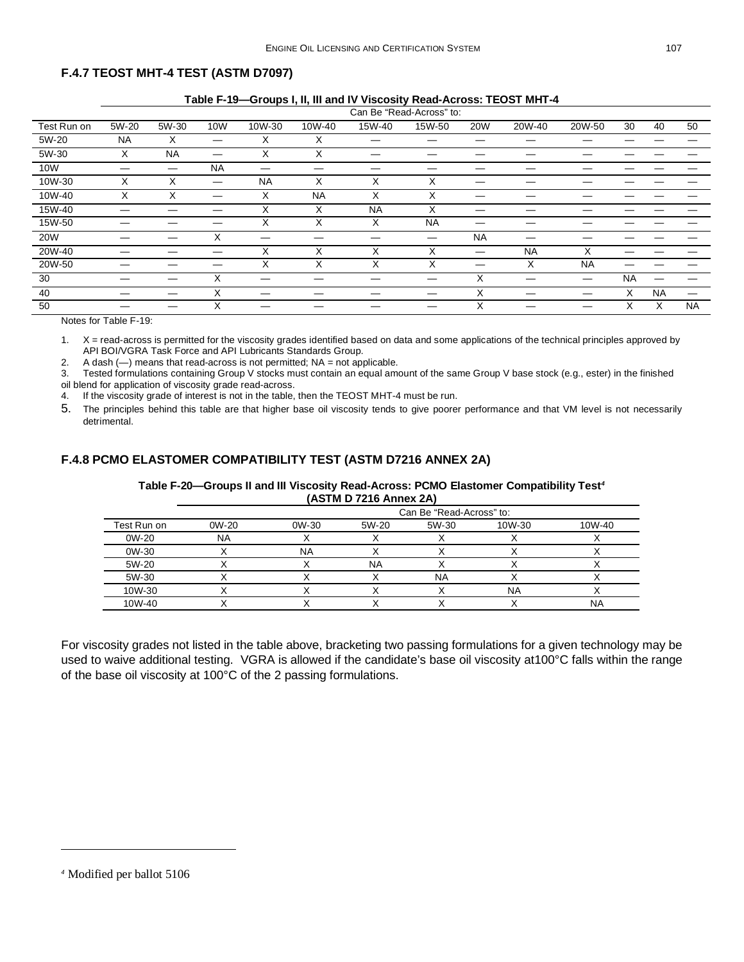## <span id="page-16-0"></span>**F.4.7 TEOST MHT-4 TEST (ASTM D7097)**

|             |       |           |           |           |           |           | Can Be "Read-Across" to: |            |           |           |           |           |           |
|-------------|-------|-----------|-----------|-----------|-----------|-----------|--------------------------|------------|-----------|-----------|-----------|-----------|-----------|
| Test Run on | 5W-20 | 5W-30     | 10W       | 10W-30    | 10W-40    | 15W-40    | 15W-50                   | <b>20W</b> | 20W-40    | 20W-50    | 30        | 40        | 50        |
| 5W-20       | NA    | X         | —         | X         | X         |           |                          |            |           |           |           |           |           |
| 5W-30       | X     | <b>NA</b> | —         | X         | X         |           |                          |            |           |           |           |           |           |
| 10W         | –     | _         | <b>NA</b> |           |           |           |                          |            |           |           |           |           |           |
| 10W-30      | X     | X         |           | <b>NA</b> | X         | X         | X                        |            |           |           |           |           |           |
| 10W-40      | X     | X         |           | X         | <b>NA</b> | X         | X                        |            |           |           |           |           |           |
| 15W-40      |       |           |           | X         | X         | <b>NA</b> | X                        |            |           |           |           |           |           |
| 15W-50      |       |           |           | X         | X         | X         | <b>NA</b>                |            |           |           |           |           |           |
| <b>20W</b>  |       |           | Χ         |           |           |           | –                        | <b>NA</b>  |           |           |           |           |           |
| 20W-40      |       |           |           | X         | X         | X         | X                        | —          | <b>NA</b> | X         |           |           |           |
| 20W-50      |       |           |           | X         | X         | X         | X                        |            | X         | <b>NA</b> |           |           |           |
| 30          |       |           | X         |           |           |           |                          | X          |           |           | <b>NA</b> |           |           |
| 40          |       |           | X         |           |           |           |                          | X          |           |           | X         | <b>NA</b> |           |
| 50          |       |           | X         |           |           |           |                          | X          |           |           | X         | X         | <b>NA</b> |

#### Notes for [Table F-19:](#page-16-0)

1. X = read-across is permitted for the viscosity grades identified based on data and some applications of the technical principles approved by API BOI/VGRA Task Force and API Lubricants Standards Group.

2. A dash  $(-)$  means that read-across is not permitted;  $NA = not$  applicable.

3. Tested formulations containing Group V stocks must contain an equal amount of the same Group V base stock (e.g., ester) in the finished oil blend for application of viscosity grade read-across.

4. If the viscosity grade of interest is not in the table, then the TEOST MHT-4 must be run.

5. The principles behind this table are that higher base oil viscosity tends to give poorer performance and that VM level is not necessarily detrimental.

## **F.4.8 PCMO ELASTOMER COMPATIBILITY TEST (ASTM D7216 ANNEX 2A)**

#### **Table F-20—Groups II and III Viscosity Read-Across: PCMO Elastomer Compatibility Test***[4](#page-16-1)* **(ASTM D 7216 Annex 2A)**

|             |           |       |       | Can Be "Read-Across" to: |        |        |
|-------------|-----------|-------|-------|--------------------------|--------|--------|
| Test Run on | $0W-20$   | 0W-30 | 5W-20 | 5W-30                    | 10W-30 | 10W-40 |
| 0W-20       | <b>NA</b> |       |       |                          |        |        |
| 0W-30       |           | NΑ    |       |                          |        |        |
| 5W-20       |           |       | ΝA    |                          |        |        |
| 5W-30       |           |       |       | <b>NA</b>                |        |        |
| 10W-30      |           |       |       |                          | NA     |        |
| 10W-40      |           |       |       |                          |        | NA     |

For viscosity grades not listed in the table above, bracketing two passing formulations for a given technology may be used to waive additional testing. VGRA is allowed if the candidate's base oil viscosity at100°C falls within the range of the base oil viscosity at 100°C of the 2 passing formulations.

<span id="page-16-1"></span>*<sup>4</sup>* Modified per ballot 5106